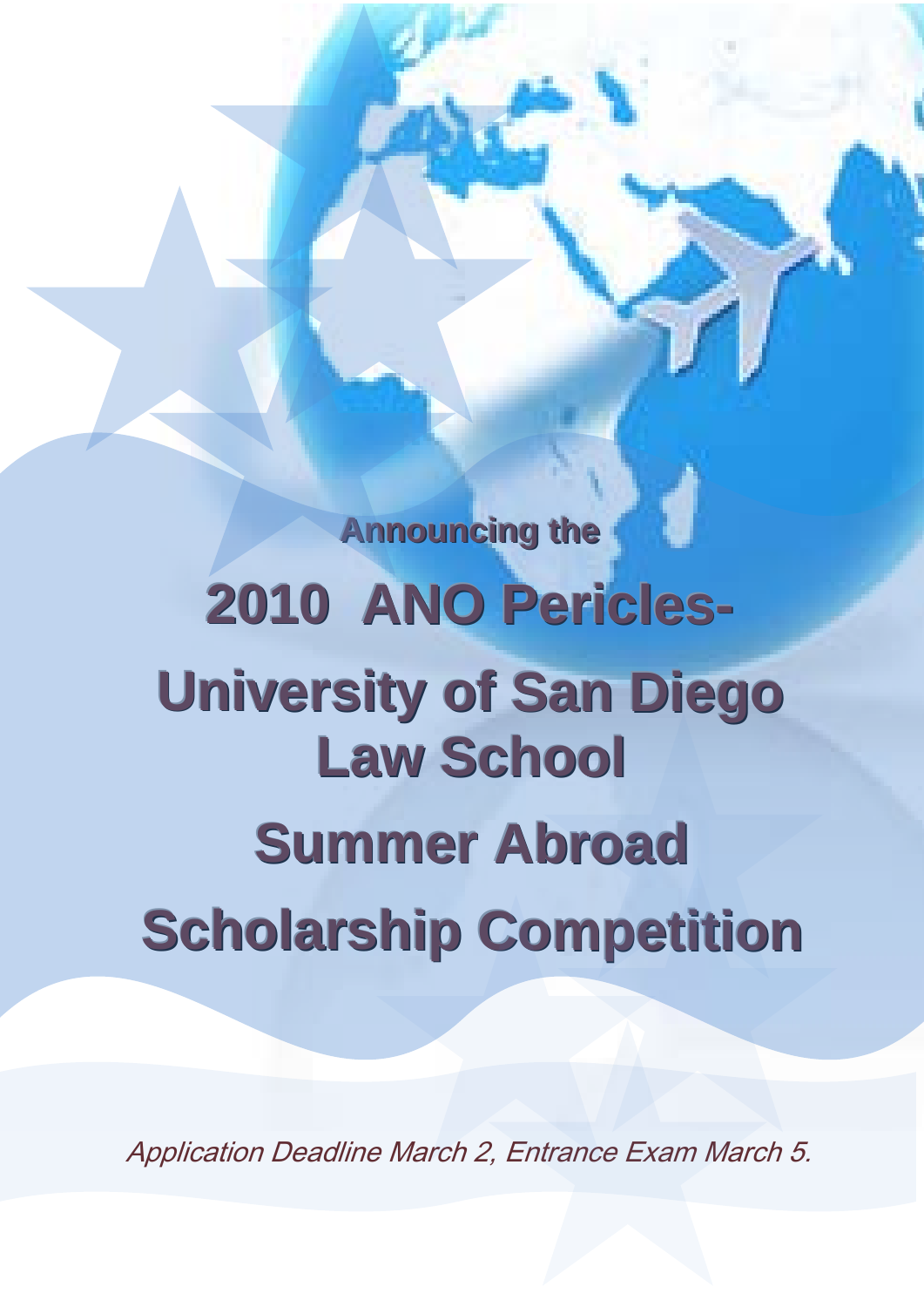**Announcing the 2010 ANO Pericles-University of San Diego Law School Summer Abroad Scholarship Competition**

ł

Application Deadline March 2, Entrance Exam March 5.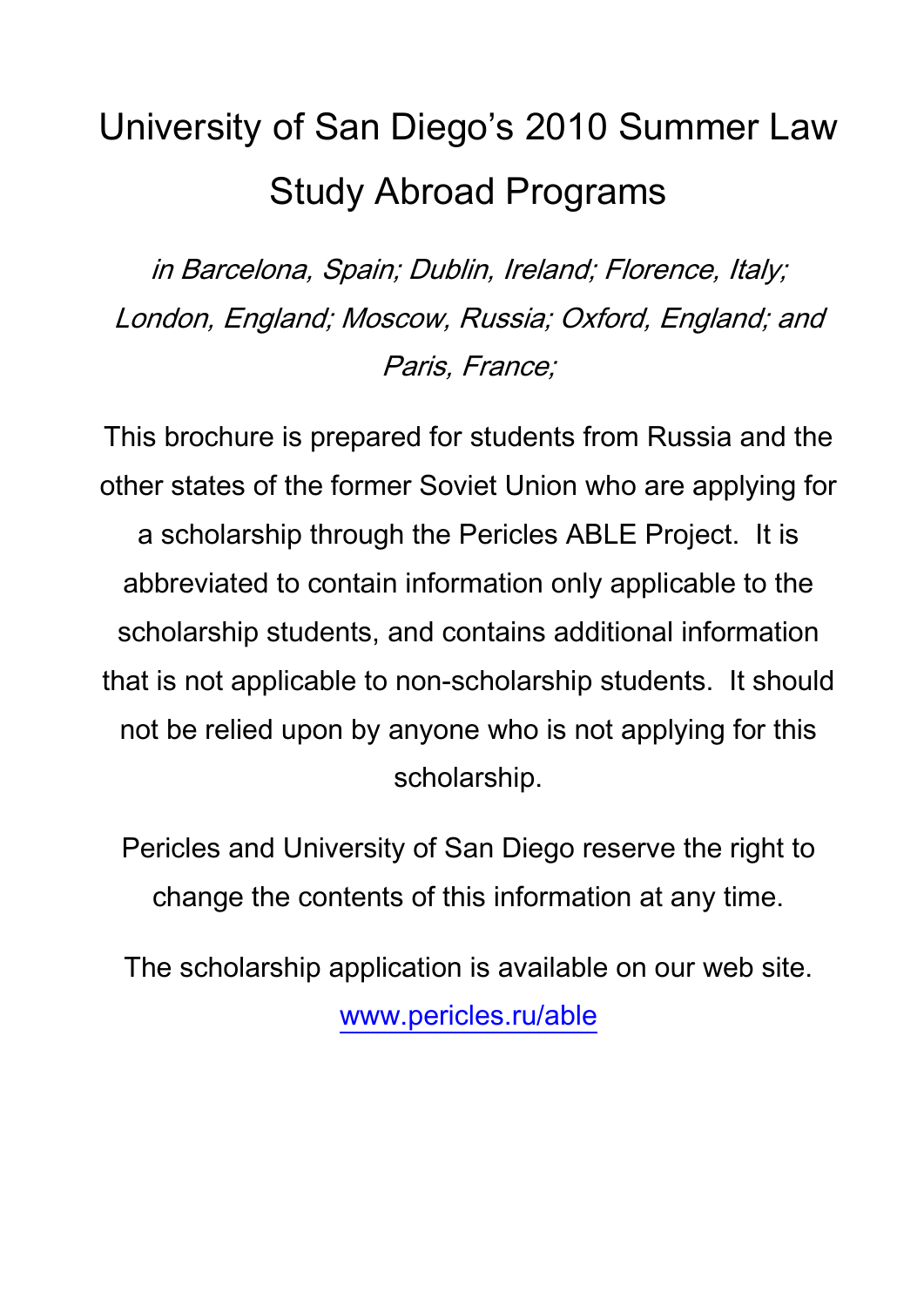# University of San Diego's 2010 Summer Law Study Abroad Programs

in Barcelona, Spain; Dublin, Ireland; Florence, Italy; London, England; Moscow, Russia; Oxford, England; and Paris, France;

This brochure is prepared for students from Russia and the other states of the former Soviet Union who are applying for a scholarship through the Pericles ABLE Project. It is abbreviated to contain information only applicable to the scholarship students, and contains additional information that is not applicable to non-scholarship students. It should not be relied upon by anyone who is not applying for this scholarship.

Pericles and University of San Diego reserve the right to change the contents of this information at any time.

The scholarship application is available on our web site. [www.pericles.ru/able](http://www.pericles.ru/able)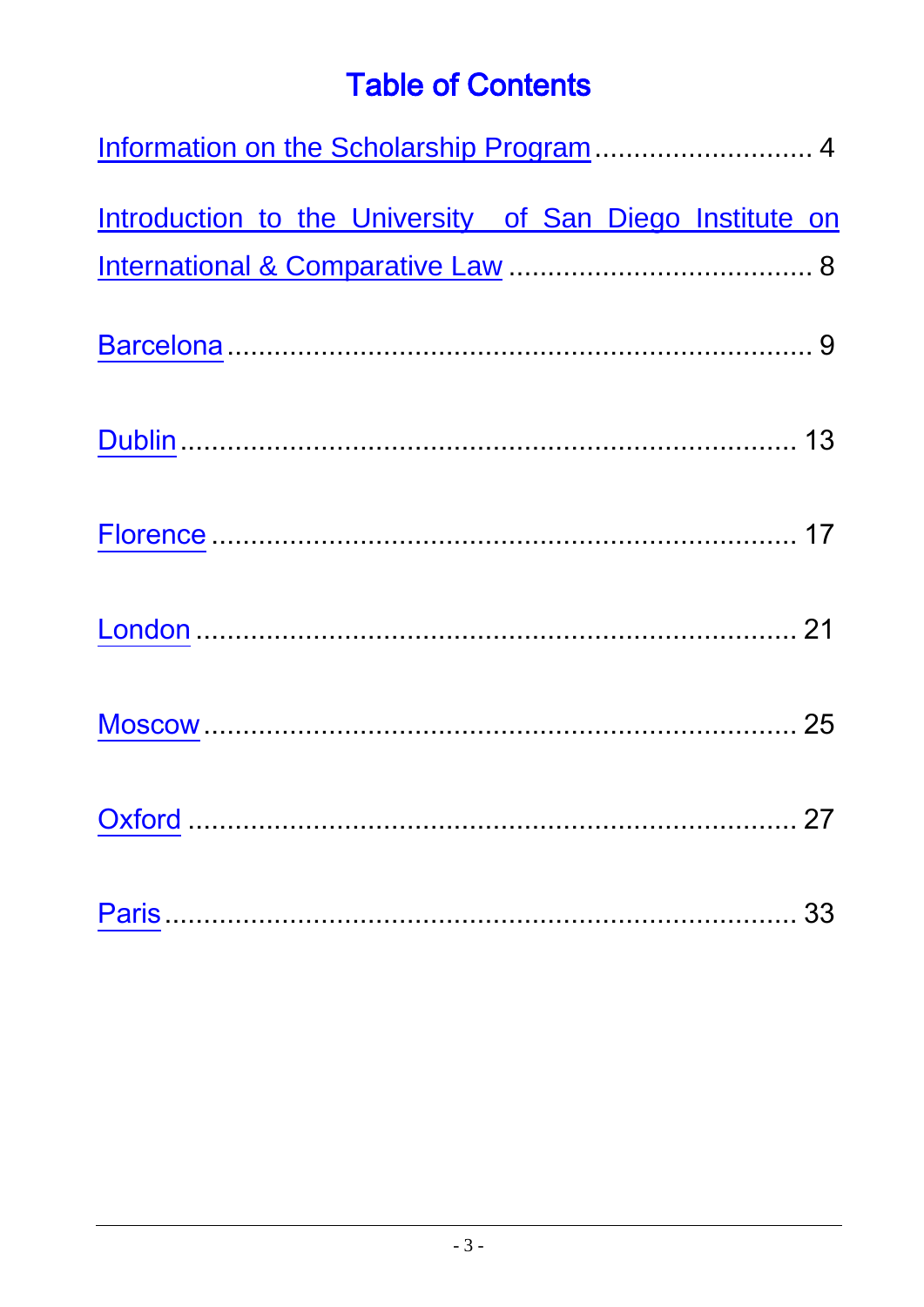## **Table of Contents**

| Information on the Scholarship Program  4                |  |  |
|----------------------------------------------------------|--|--|
| Introduction to the University of San Diego Institute on |  |  |
|                                                          |  |  |
|                                                          |  |  |
|                                                          |  |  |
|                                                          |  |  |
|                                                          |  |  |
|                                                          |  |  |
|                                                          |  |  |
|                                                          |  |  |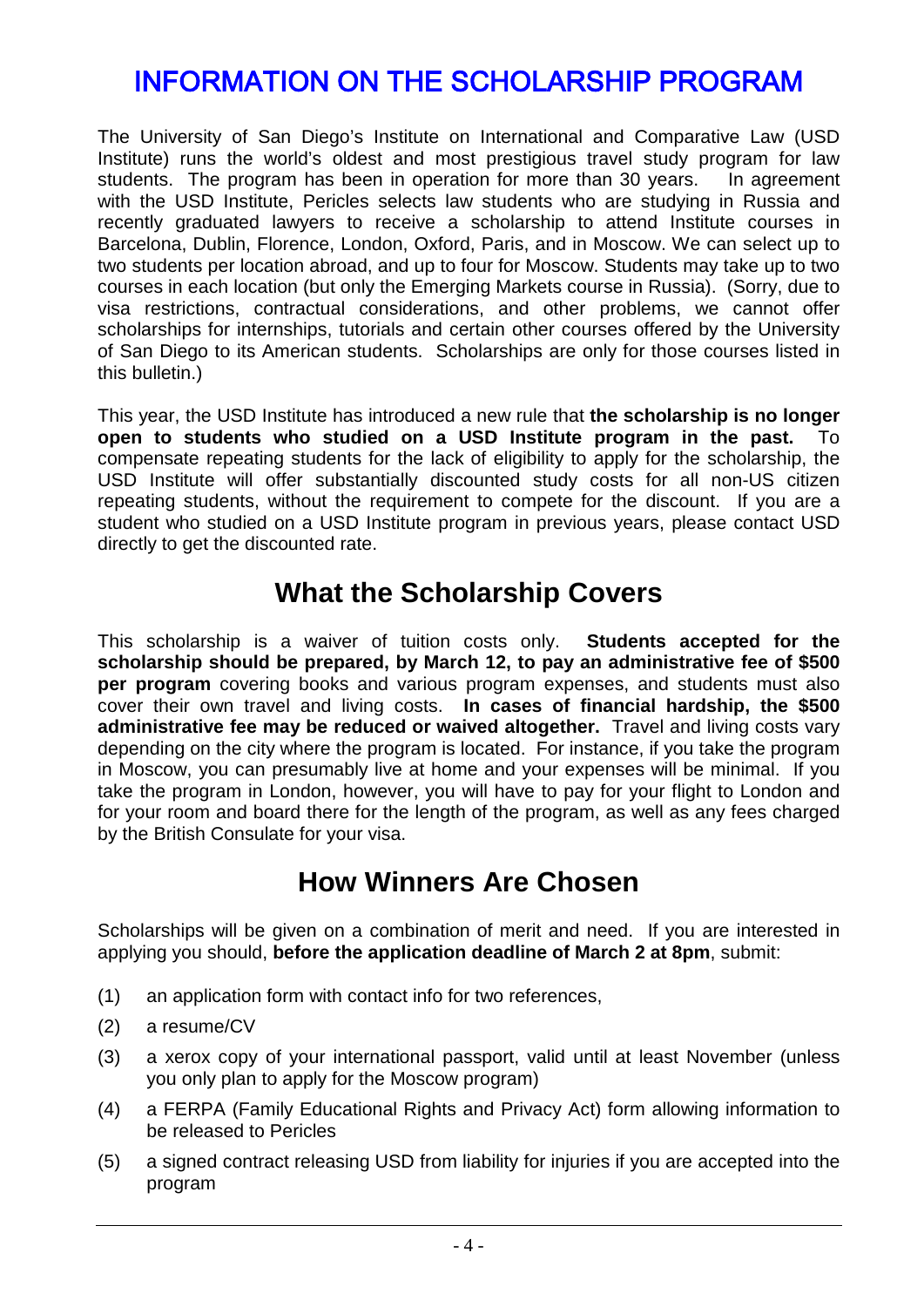## <span id="page-3-0"></span>INFORMATION ON THE SCHOLARSHIP PROGRAM

The University of San Diego's Institute on International and Comparative Law (USD Institute) runs the world's oldest and most prestigious travel study program for law students. The program has been in operation for more than 30 years. In agreement with the USD Institute, Pericles selects law students who are studying in Russia and recently graduated lawyers to receive a scholarship to attend Institute courses in Barcelona, Dublin, Florence, London, Oxford, Paris, and in Moscow. We can select up to two students per location abroad, and up to four for Moscow. Students may take up to two courses in each location (but only the Emerging Markets course in Russia). (Sorry, due to visa restrictions, contractual considerations, and other problems, we cannot offer scholarships for internships, tutorials and certain other courses offered by the University of San Diego to its American students. Scholarships are only for those courses listed in this bulletin.)

This year, the USD Institute has introduced a new rule that **the scholarship is no longer open to students who studied on a USD Institute program in the past.** To compensate repeating students for the lack of eligibility to apply for the scholarship, the USD Institute will offer substantially discounted study costs for all non-US citizen repeating students, without the requirement to compete for the discount. If you are a student who studied on a USD Institute program in previous years, please contact USD directly to get the discounted rate.

### **What the Scholarship Covers**

This scholarship is a waiver of tuition costs only. **Students accepted for the scholarship should be prepared, by March 12, to pay an administrative fee of \$500 per program** covering books and various program expenses, and students must also cover their own travel and living costs. **In cases of financial hardship, the \$500 administrative fee may be reduced or waived altogether.** Travel and living costs vary depending on the city where the program is located. For instance, if you take the program in Moscow, you can presumably live at home and your expenses will be minimal. If you take the program in London, however, you will have to pay for your flight to London and for your room and board there for the length of the program, as well as any fees charged by the British Consulate for your visa.

### **How Winners Are Chosen**

Scholarships will be given on a combination of merit and need. If you are interested in applying you should, **before the application deadline of March 2 at 8pm**, submit:

- (1) an application form with contact info for two references,
- (2) a resume/CV
- (3) a xerox copy of your international passport, valid until at least November (unless you only plan to apply for the Moscow program)
- (4) a FERPA (Family Educational Rights and Privacy Act) form allowing information to be released to Pericles
- (5) a signed contract releasing USD from liability for injuries if you are accepted into the program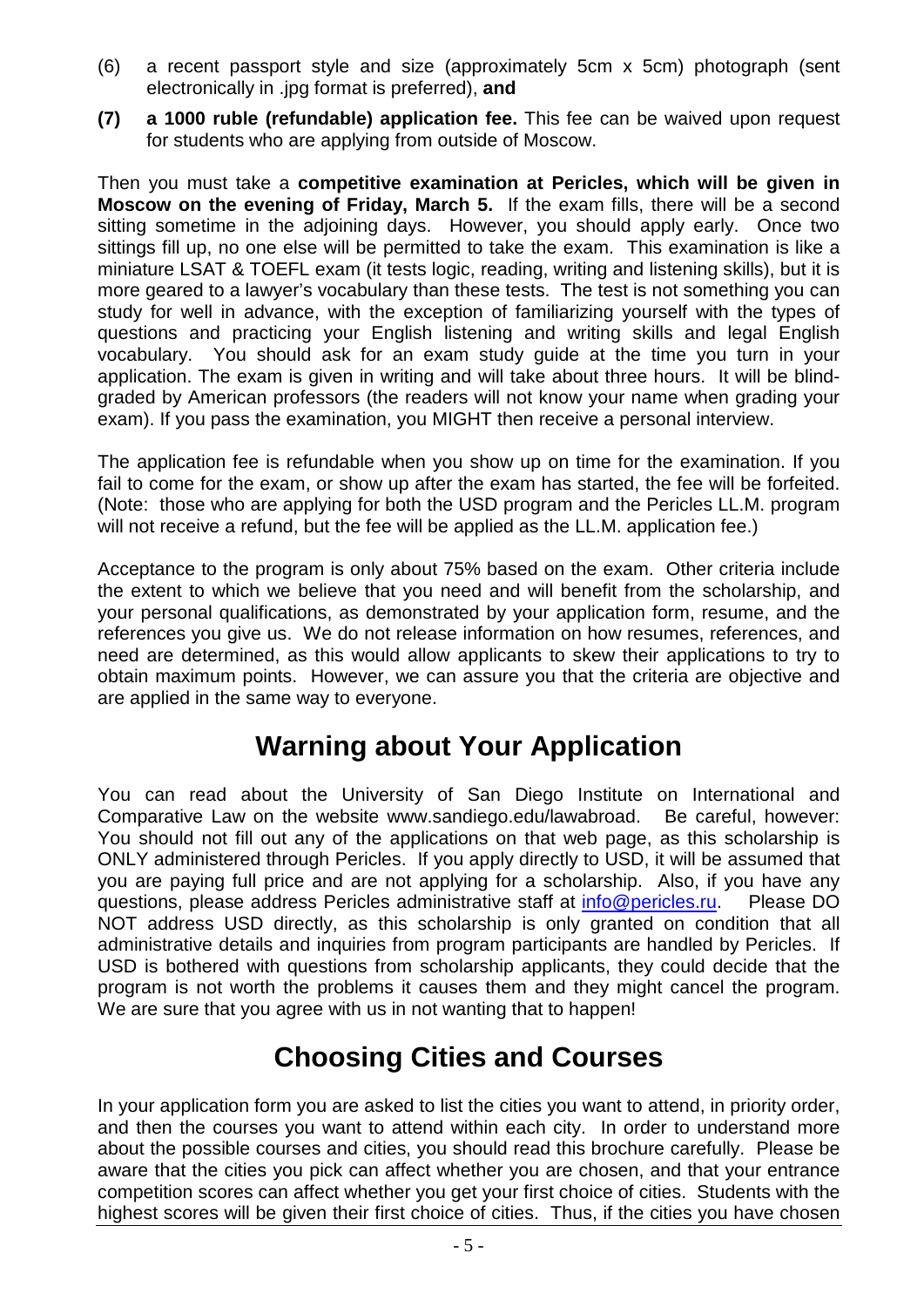- (6) a recent passport style and size (approximately 5cm x 5cm) photograph (sent electronically in .jpg format is preferred), **and**
- **(7) a 1000 ruble (refundable) application fee.** This fee can be waived upon request for students who are applying from outside of Moscow.

Then you must take a **competitive examination at Pericles, which will be given in Moscow on the evening of Friday, March 5.** If the exam fills, there will be a second sitting sometime in the adjoining days. However, you should apply early. Once two sittings fill up, no one else will be permitted to take the exam. This examination is like a miniature LSAT & TOEFL exam (it tests logic, reading, writing and listening skills), but it is more geared to a lawyer's vocabulary than these tests. The test is not something you can study for well in advance, with the exception of familiarizing yourself with the types of questions and practicing your English listening and writing skills and legal English vocabulary. You should ask for an exam study guide at the time you turn in your application. The exam is given in writing and will take about three hours. It will be blindgraded by American professors (the readers will not know your name when grading your exam). If you pass the examination, you MIGHT then receive a personal interview.

The application fee is refundable when you show up on time for the examination. If you fail to come for the exam, or show up after the exam has started, the fee will be forfeited. (Note: those who are applying for both the USD program and the Pericles LL.M. program will not receive a refund, but the fee will be applied as the LL.M. application fee.)

Acceptance to the program is only about 75% based on the exam. Other criteria include the extent to which we believe that you need and will benefit from the scholarship, and your personal qualifications, as demonstrated by your application form, resume, and the references you give us. We do not release information on how resumes, references, and need are determined, as this would allow applicants to skew their applications to try to obtain maximum points. However, we can assure you that the criteria are objective and are applied in the same way to everyone.

## **Warning about Your Application**

You can read about the University of San Diego Institute on International and Comparative Law on the website www.sandiego.edu/lawabroad. Be careful, however: You should not fill out any of the applications on that web page, as this scholarship is ONLY administered through Pericles. If you apply directly to USD, it will be assumed that you are paying full price and are not applying for a scholarship. Also, if you have any questions, please address Pericles administrative staff at [info@pericles.ru.](mailto:info@pericles.ru) Please DO NOT address USD directly, as this scholarship is only granted on condition that all administrative details and inquiries from program participants are handled by Pericles. If USD is bothered with questions from scholarship applicants, they could decide that the program is not worth the problems it causes them and they might cancel the program. We are sure that you agree with us in not wanting that to happen!

### **Choosing Cities and Courses**

In your application form you are asked to list the cities you want to attend, in priority order, and then the courses you want to attend within each city. In order to understand more about the possible courses and cities, you should read this brochure carefully. Please be aware that the cities you pick can affect whether you are chosen, and that your entrance competition scores can affect whether you get your first choice of cities. Students with the highest scores will be given their first choice of cities. Thus, if the cities you have chosen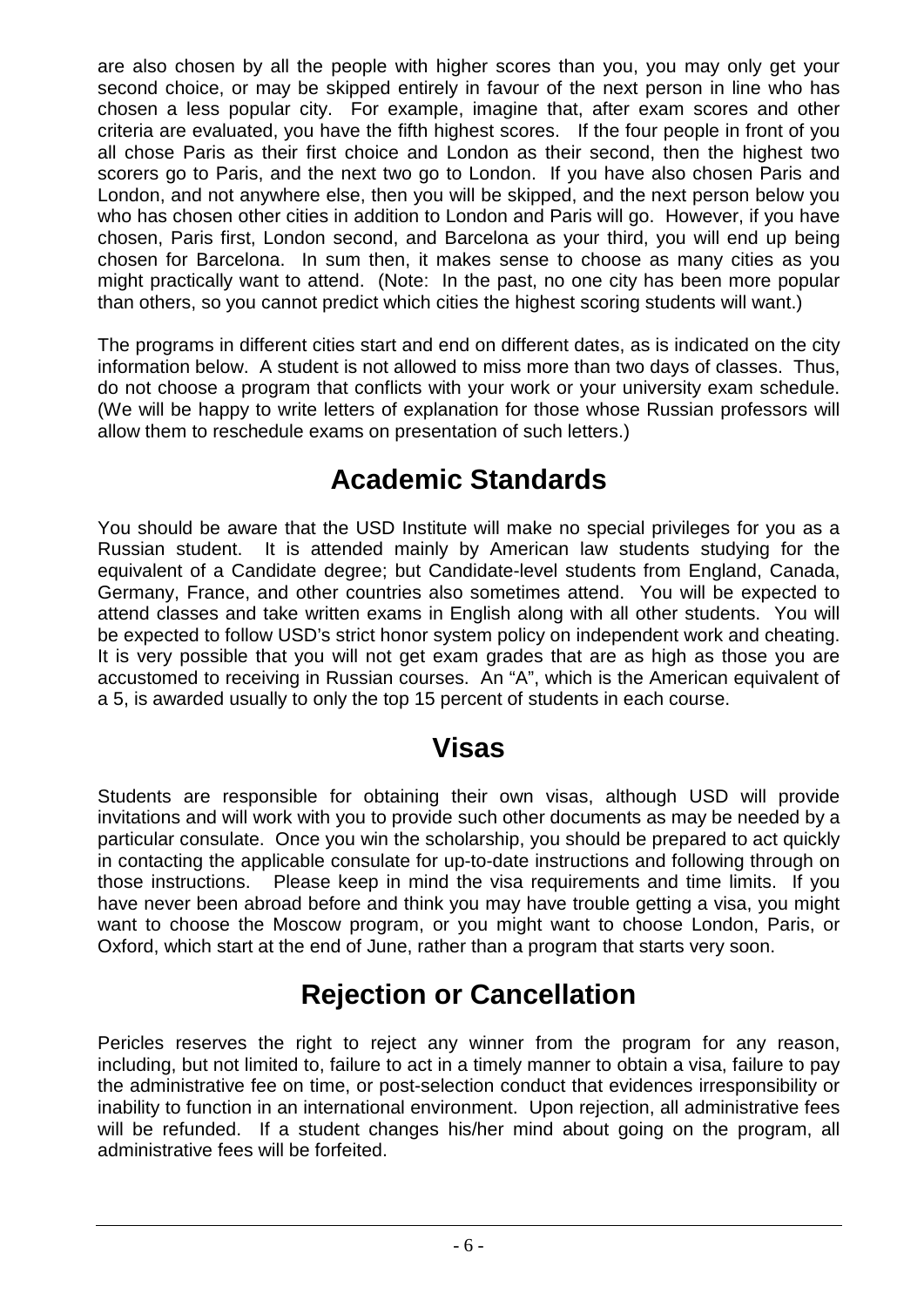are also chosen by all the people with higher scores than you, you may only get your second choice, or may be skipped entirely in favour of the next person in line who has chosen a less popular city. For example, imagine that, after exam scores and other criteria are evaluated, you have the fifth highest scores. If the four people in front of you all chose Paris as their first choice and London as their second, then the highest two scorers go to Paris, and the next two go to London. If you have also chosen Paris and London, and not anywhere else, then you will be skipped, and the next person below you who has chosen other cities in addition to London and Paris will go. However, if you have chosen, Paris first, London second, and Barcelona as your third, you will end up being chosen for Barcelona. In sum then, it makes sense to choose as many cities as you might practically want to attend. (Note: In the past, no one city has been more popular than others, so you cannot predict which cities the highest scoring students will want.)

The programs in different cities start and end on different dates, as is indicated on the city information below. A student is not allowed to miss more than two days of classes. Thus, do not choose a program that conflicts with your work or your university exam schedule. (We will be happy to write letters of explanation for those whose Russian professors will allow them to reschedule exams on presentation of such letters.)

## **Academic Standards**

You should be aware that the USD Institute will make no special privileges for you as a Russian student. It is attended mainly by American law students studying for the equivalent of a Candidate degree; but Candidate-level students from England, Canada, Germany, France, and other countries also sometimes attend. You will be expected to attend classes and take written exams in English along with all other students. You will be expected to follow USD's strict honor system policy on independent work and cheating. It is very possible that you will not get exam grades that are as high as those you are accustomed to receiving in Russian courses. An "A", which is the American equivalent of a 5, is awarded usually to only the top 15 percent of students in each course.

### **Visas**

Students are responsible for obtaining their own visas, although USD will provide invitations and will work with you to provide such other documents as may be needed by a particular consulate. Once you win the scholarship, you should be prepared to act quickly in contacting the applicable consulate for up-to-date instructions and following through on those instructions. Please keep in mind the visa requirements and time limits. If you have never been abroad before and think you may have trouble getting a visa, you might want to choose the Moscow program, or you might want to choose London, Paris, or Oxford, which start at the end of June, rather than a program that starts very soon.

## **Rejection or Cancellation**

Pericles reserves the right to reject any winner from the program for any reason, including, but not limited to, failure to act in a timely manner to obtain a visa, failure to pay the administrative fee on time, or post-selection conduct that evidences irresponsibility or inability to function in an international environment. Upon rejection, all administrative fees will be refunded. If a student changes his/her mind about going on the program, all administrative fees will be forfeited.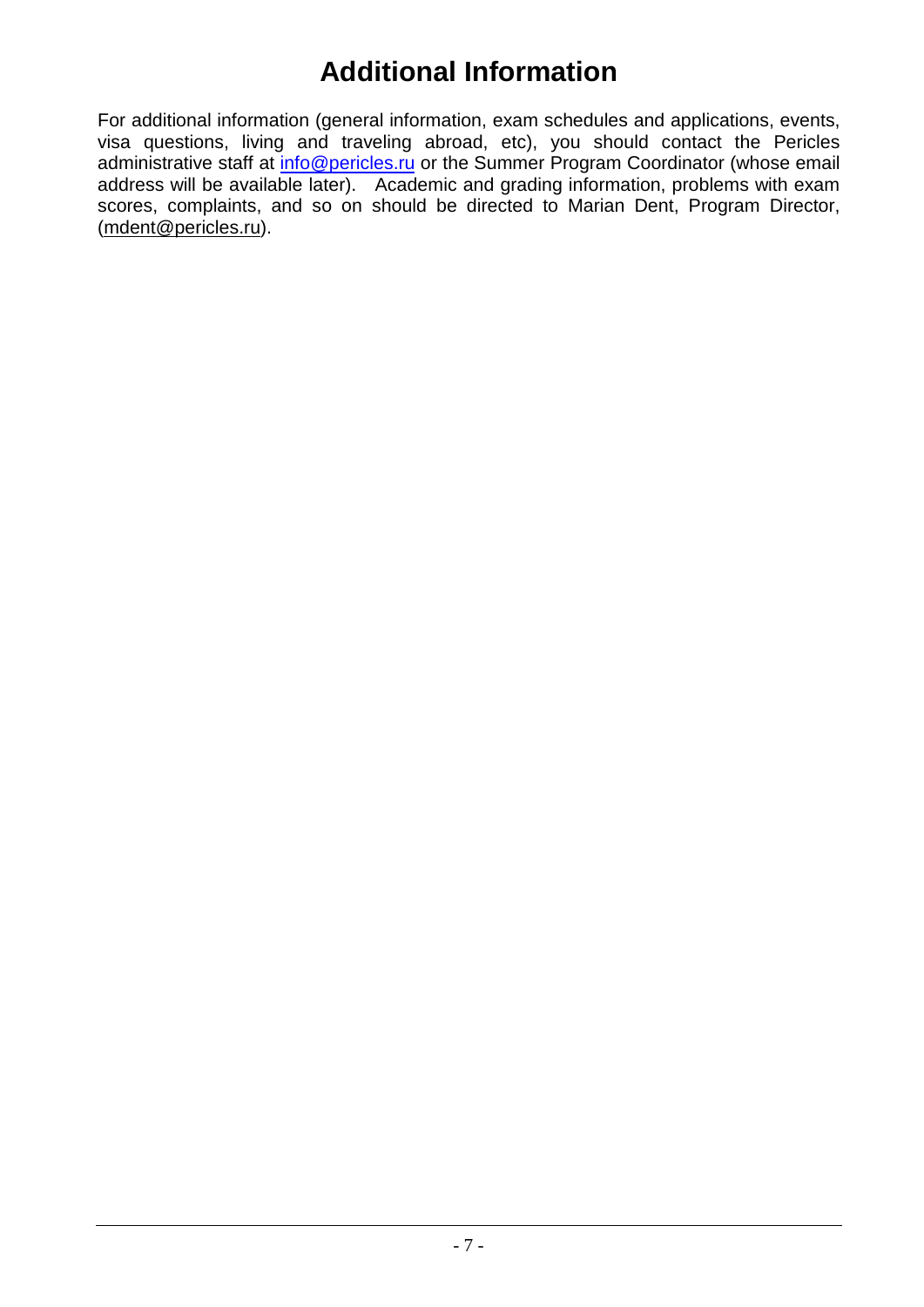## **Additional Information**

For additional information (general information, exam schedules and applications, events, visa questions, living and traveling abroad, etc), you should contact the Pericles administrative staff at [info@pericles.ru](mailto:info@pericles.ru) or the Summer Program Coordinator (whose email address will be available later). Academic and grading information, problems with exam scores, complaints, and so on should be directed to Marian Dent, Program Director, [\(mdent@pericles.ru\)](mailto:mdent@pericles.ru).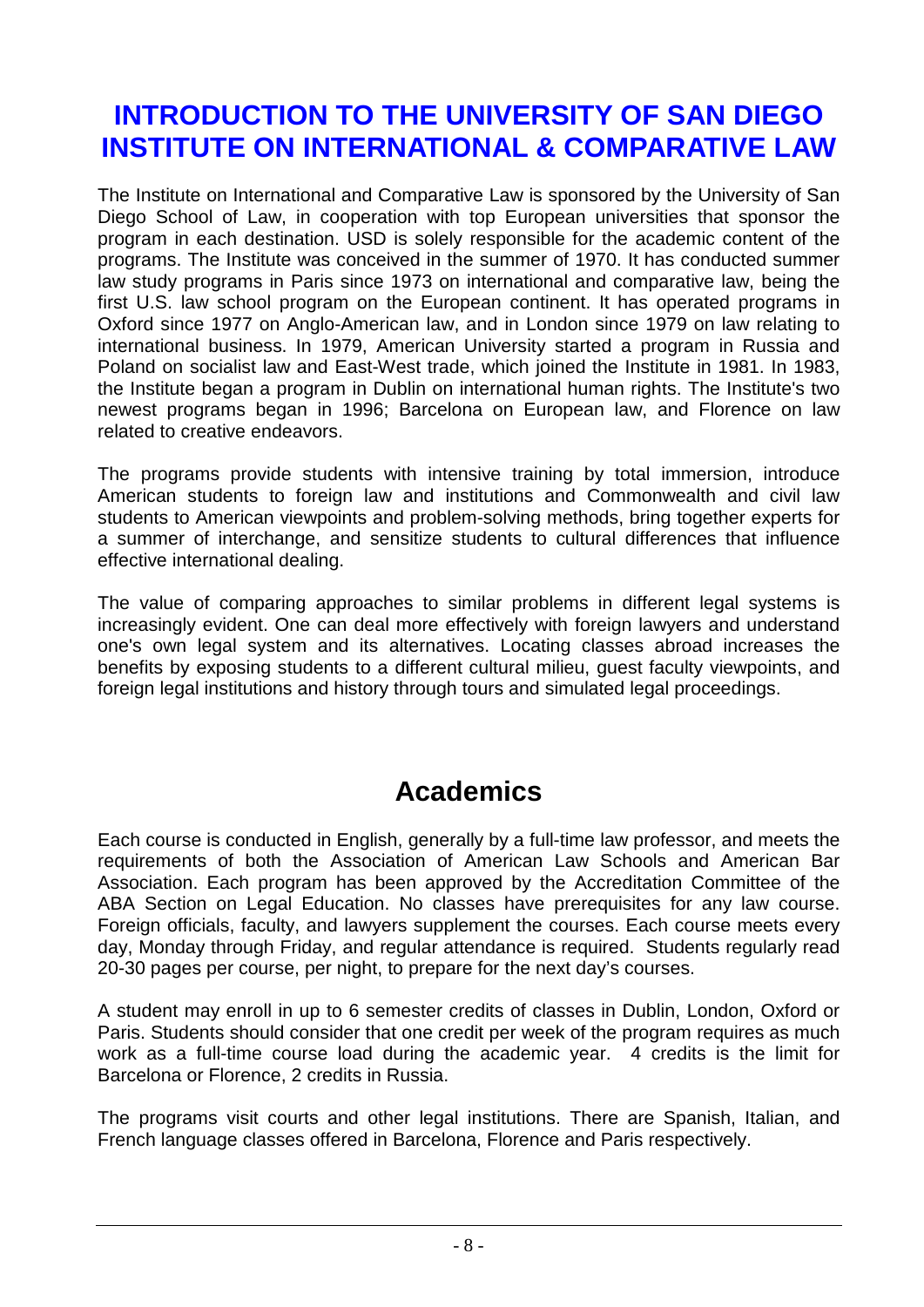## <span id="page-7-0"></span>**INTRODUCTION TO THE UNIVERSITY OF SAN DIEGO INSTITUTE ON INTERNATIONAL & COMPARATIVE LAW**

The Institute on International and Comparative Law is sponsored by the University of San Diego School of Law, in cooperation with top European universities that sponsor the program in each destination. USD is solely responsible for the academic content of the programs. The Institute was conceived in the summer of 1970. It has conducted summer law study programs in Paris since 1973 on international and comparative law, being the first U.S. law school program on the European continent. It has operated programs in Oxford since 1977 on Anglo-American law, and in London since 1979 on law relating to international business. In 1979, American University started a program in Russia and Poland on socialist law and East-West trade, which joined the Institute in 1981. In 1983, the Institute began a program in Dublin on international human rights. The Institute's two newest programs began in 1996; Barcelona on European law, and Florence on law related to creative endeavors.

The programs provide students with intensive training by total immersion, introduce American students to foreign law and institutions and Commonwealth and civil law students to American viewpoints and problem-solving methods, bring together experts for a summer of interchange, and sensitize students to cultural differences that influence effective international dealing.

The value of comparing approaches to similar problems in different legal systems is increasingly evident. One can deal more effectively with foreign lawyers and understand one's own legal system and its alternatives. Locating classes abroad increases the benefits by exposing students to a different cultural milieu, guest faculty viewpoints, and foreign legal institutions and history through tours and simulated legal proceedings.

### **Academics**

Each course is conducted in English, generally by a full-time law professor, and meets the requirements of both the Association of American Law Schools and American Bar Association. Each program has been approved by the Accreditation Committee of the ABA Section on Legal Education. No classes have prerequisites for any law course. Foreign officials, faculty, and lawyers supplement the courses. Each course meets every day, Monday through Friday, and regular attendance is required. Students regularly read 20-30 pages per course, per night, to prepare for the next day's courses.

A student may enroll in up to 6 semester credits of classes in Dublin, London, Oxford or Paris. Students should consider that one credit per week of the program requires as much work as a full-time course load during the academic year. 4 credits is the limit for Barcelona or Florence, 2 credits in Russia.

The programs visit courts and other legal institutions. There are Spanish, Italian, and French language classes offered in Barcelona, Florence and Paris respectively.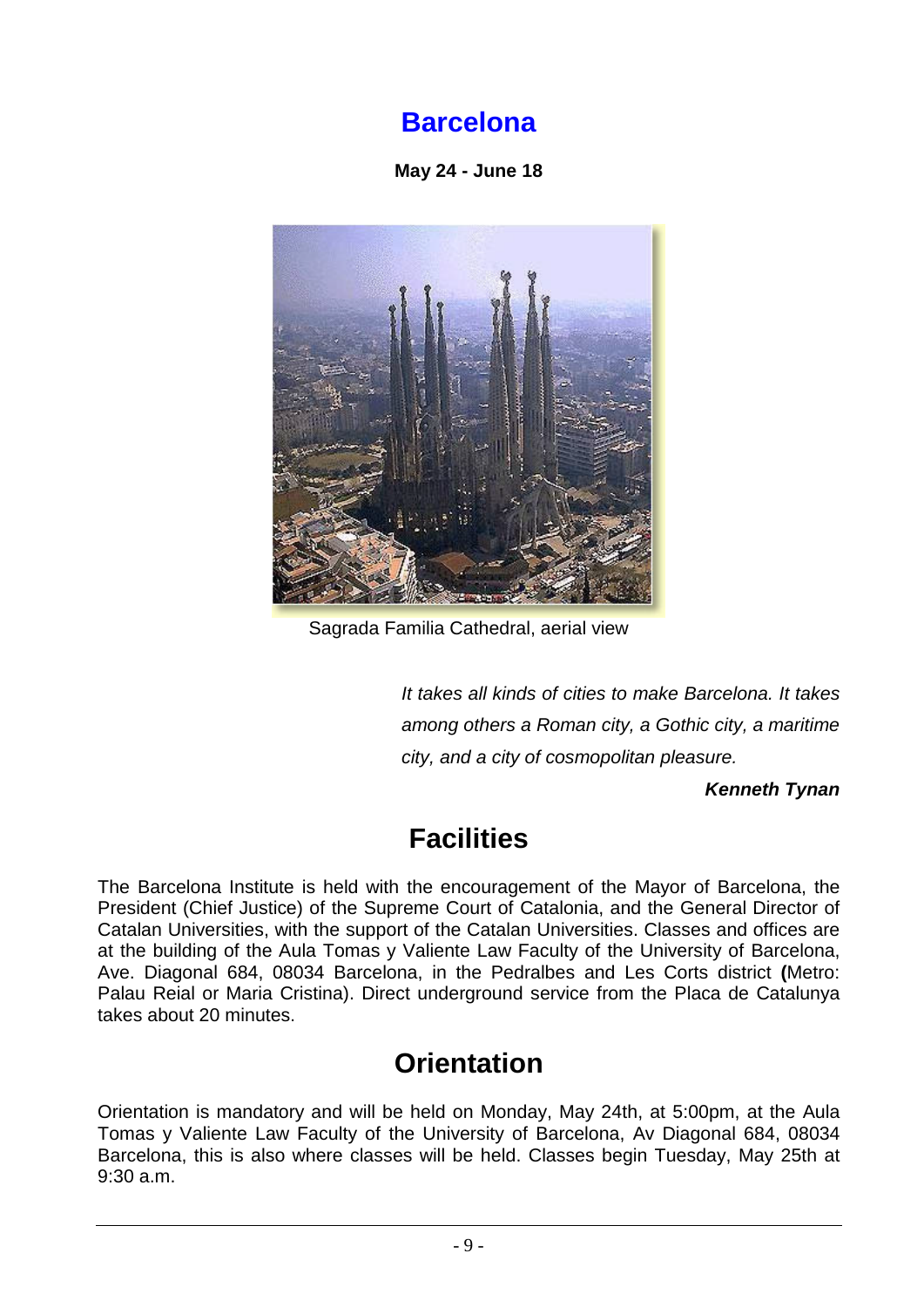## **Barcelona**

**May 24 - June 18**

<span id="page-8-0"></span>

Sagrada Familia Cathedral, aerial view

*It takes all kinds of cities to make Barcelona. It takes among others a Roman city, a Gothic city, a maritime city, and a city of cosmopolitan pleasure.*

*Kenneth Tynan* 

## **Facilities**

The Barcelona Institute is held with the encouragement of the Mayor of Barcelona, the President (Chief Justice) of the Supreme Court of Catalonia, and the General Director of Catalan Universities, with the support of the Catalan Universities. Classes and offices are at the building of the Aula Tomas y Valiente Law Faculty of the University of Barcelona, Ave. Diagonal 684, 08034 Barcelona, in the Pedralbes and Les Corts district **(**Metro: Palau Reial or Maria Cristina). Direct underground service from the Placa de Catalunya takes about 20 minutes.

## **Orientation**

Orientation is mandatory and will be held on Monday, May 24th, at 5:00pm, at the Aula Tomas y Valiente Law Faculty of the University of Barcelona, Av Diagonal 684, 08034 Barcelona, this is also where classes will be held. Classes begin Tuesday, May 25th at 9:30 a.m.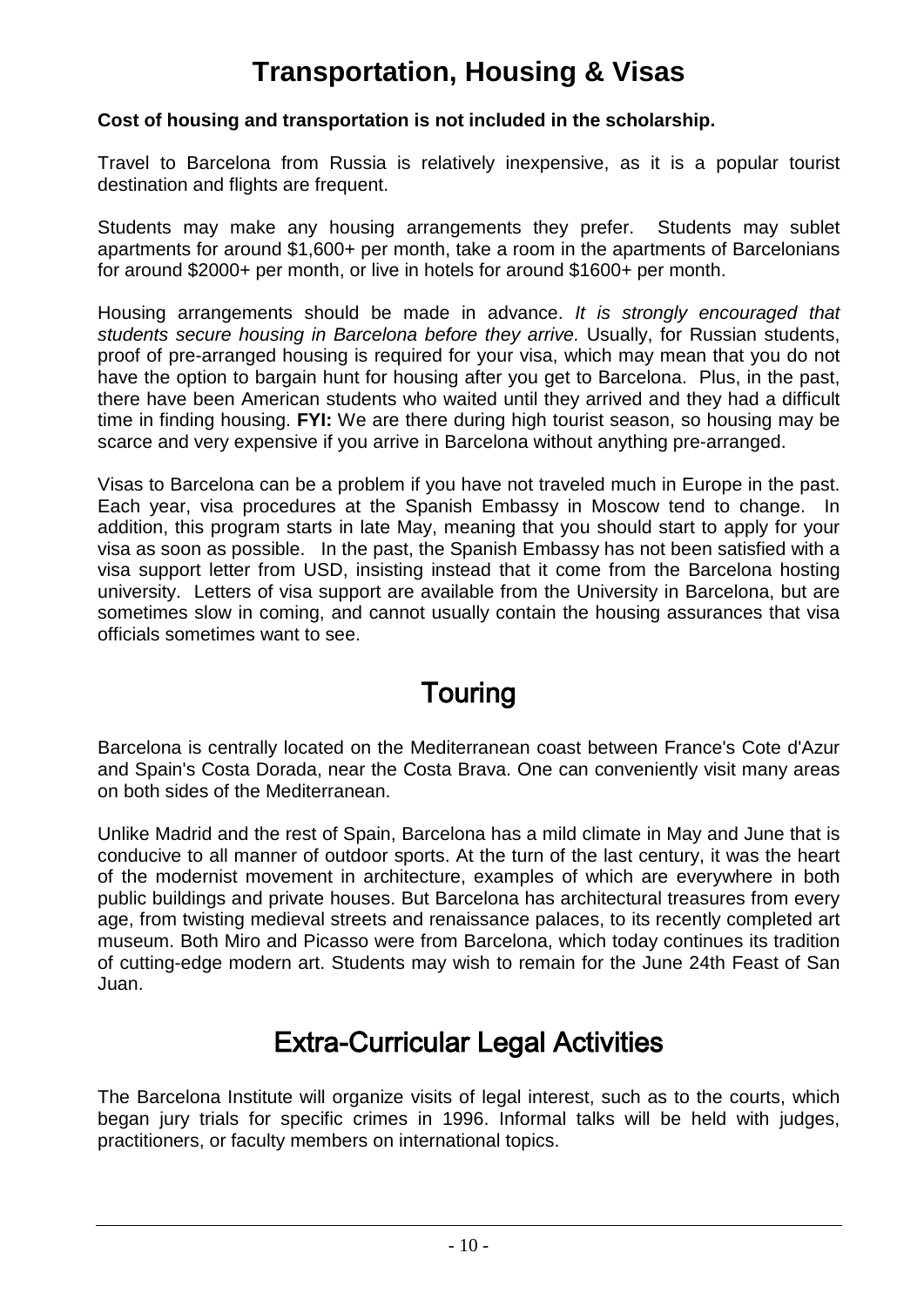## **Transportation, Housing & Visas**

#### **Cost of housing and transportation is not included in the scholarship.**

Travel to Barcelona from Russia is relatively inexpensive, as it is a popular tourist destination and flights are frequent.

Students may make any housing arrangements they prefer. Students may sublet apartments for around \$1,600+ per month, take a room in the apartments of Barcelonians for around \$2000+ per month, or live in hotels for around \$1600+ per month.

Housing arrangements should be made in advance. *It is strongly encouraged that students secure housing in Barcelona before they arrive.* Usually, for Russian students, proof of pre-arranged housing is required for your visa, which may mean that you do not have the option to bargain hunt for housing after you get to Barcelona. Plus, in the past, there have been American students who waited until they arrived and they had a difficult time in finding housing. **FYI:** We are there during high tourist season, so housing may be scarce and very expensive if you arrive in Barcelona without anything pre-arranged.

Visas to Barcelona can be a problem if you have not traveled much in Europe in the past. Each year, visa procedures at the Spanish Embassy in Moscow tend to change. In addition, this program starts in late May, meaning that you should start to apply for your visa as soon as possible. In the past, the Spanish Embassy has not been satisfied with a visa support letter from USD, insisting instead that it come from the Barcelona hosting university. Letters of visa support are available from the University in Barcelona, but are sometimes slow in coming, and cannot usually contain the housing assurances that visa officials sometimes want to see.

### **Touring**

Barcelona is centrally located on the Mediterranean coast between France's Cote d'Azur and Spain's Costa Dorada, near the Costa Brava. One can conveniently visit many areas on both sides of the Mediterranean.

Unlike Madrid and the rest of Spain, Barcelona has a mild climate in May and June that is conducive to all manner of outdoor sports. At the turn of the last century, it was the heart of the modernist movement in architecture, examples of which are everywhere in both public buildings and private houses. But Barcelona has architectural treasures from every age, from twisting medieval streets and renaissance palaces, to its recently completed art museum. Both Miro and Picasso were from Barcelona, which today continues its tradition of cutting-edge modern art. Students may wish to remain for the June 24th Feast of San Juan.

### Extra-Curricular Legal Activities

The Barcelona Institute will organize visits of legal interest, such as to the courts, which began jury trials for specific crimes in 1996. Informal talks will be held with judges, practitioners, or faculty members on international topics.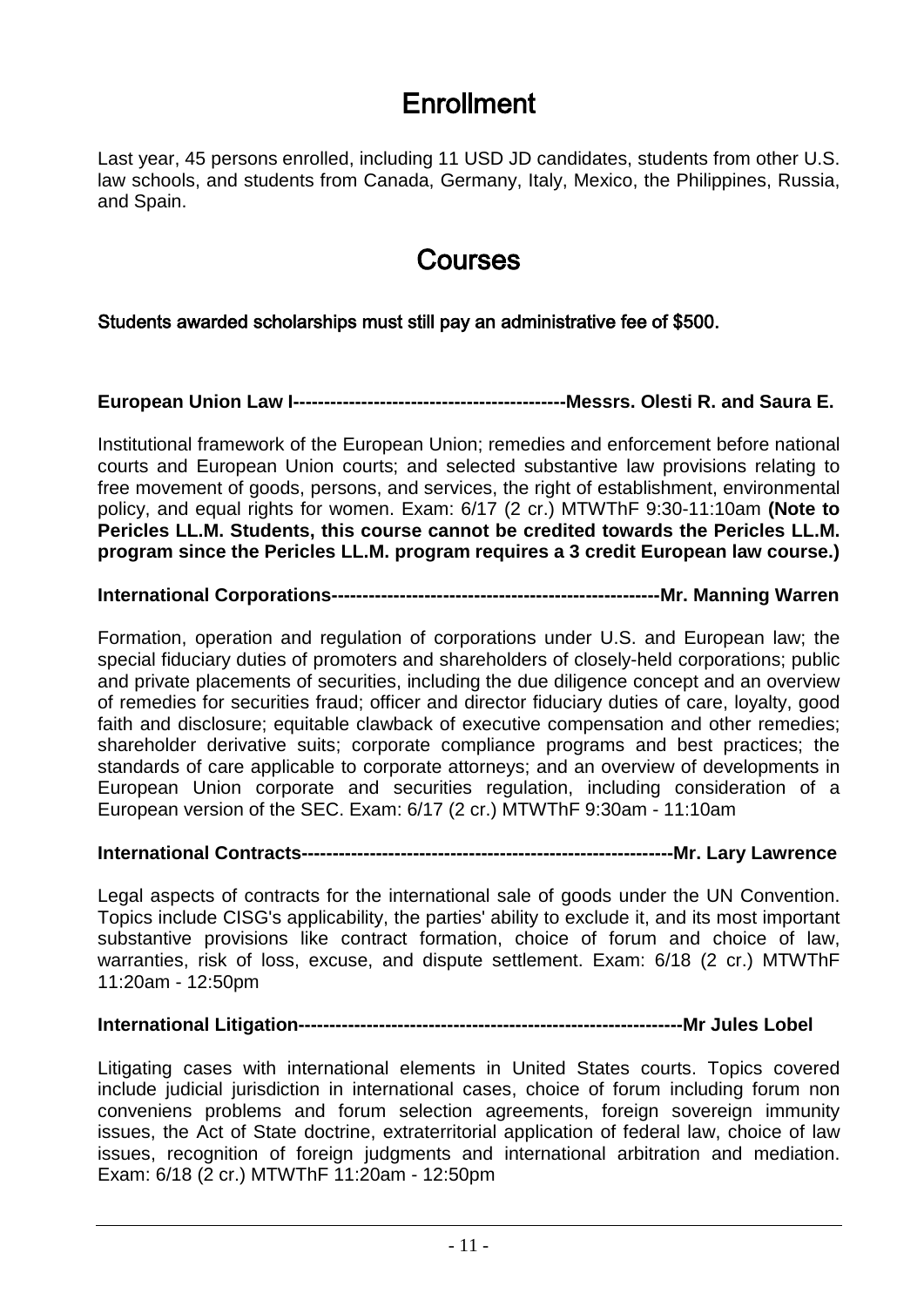## **Enrollment**

Last year, 45 persons enrolled, including 11 USD JD candidates, students from other U.S. law schools, and students from Canada, Germany, Italy, Mexico, the Philippines, Russia, and Spain.

### Courses

Students awarded scholarships must still pay an administrative fee of \$500.

**European Union Law I--------------------------------------------Messrs. Olesti R. and Saura E.**

Institutional framework of the European Union; remedies and enforcement before national courts and European Union courts; and selected substantive law provisions relating to free movement of goods, persons, and services, the right of establishment, environmental policy, and equal rights for women. Exam: 6/17 (2 cr.) MTWThF 9:30-11:10am **(Note to Pericles LL.M. Students, this course cannot be credited towards the Pericles LL.M. program since the Pericles LL.M. program requires a 3 credit European law course.)**

#### **International Corporations-----------------------------------------------------Mr. Manning Warren**

Formation, operation and regulation of corporations under U.S. and European law; the special fiduciary duties of promoters and shareholders of closely-held corporations; public and private placements of securities, including the due diligence concept and an overview of remedies for securities fraud; officer and director fiduciary duties of care, loyalty, good faith and disclosure; equitable clawback of executive compensation and other remedies; shareholder derivative suits; corporate compliance programs and best practices; the standards of care applicable to corporate attorneys; and an overview of developments in European Union corporate and securities regulation, including consideration of a European version of the SEC. Exam: 6/17 (2 cr.) MTWThF 9:30am - 11:10am

#### **International Contracts------------------------------------------------------------Mr. Lary Lawrence**

Legal aspects of contracts for the international sale of goods under the UN Convention. Topics include CISG's applicability, the parties' ability to exclude it, and its most important substantive provisions like contract formation, choice of forum and choice of law, warranties, risk of loss, excuse, and dispute settlement. Exam: 6/18 (2 cr.) MTWThF 11:20am - 12:50pm

#### **International Litigation--------------------------------------------------------------Mr Jules Lobel**

Litigating cases with international elements in United States courts. Topics covered include judicial jurisdiction in international cases, choice of forum including forum non conveniens problems and forum selection agreements, foreign sovereign immunity issues, the Act of State doctrine, extraterritorial application of federal law, choice of law issues, recognition of foreign judgments and international arbitration and mediation. Exam: 6/18 (2 cr.) MTWThF 11:20am - 12:50pm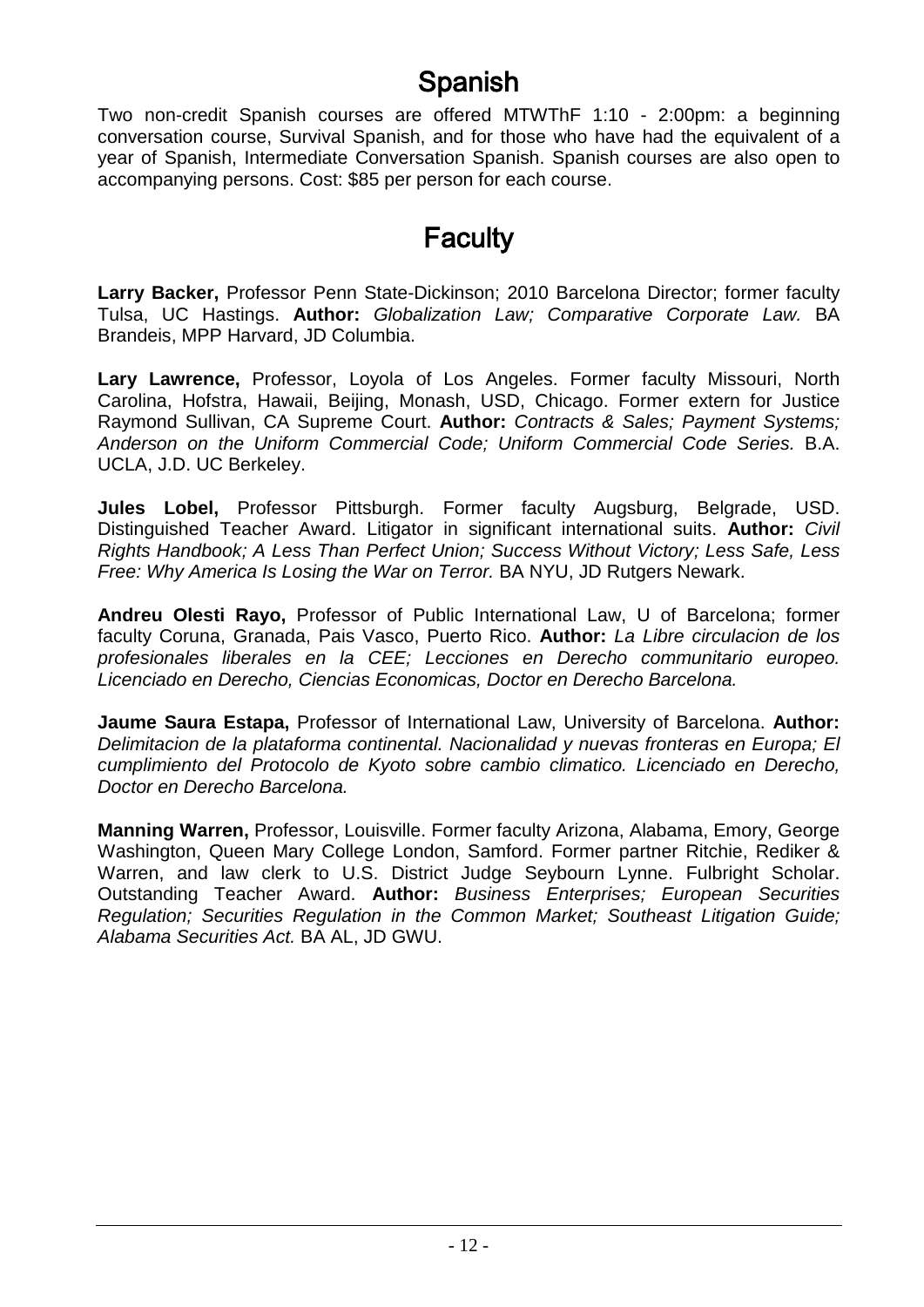## Spanish

Two non-credit Spanish courses are offered MTWThF 1:10 - 2:00pm: a beginning conversation course, Survival Spanish, and for those who have had the equivalent of a year of Spanish, Intermediate Conversation Spanish. Spanish courses are also open to accompanying persons. Cost: \$85 per person for each course.

## **Faculty**

**Larry Backer,** Professor Penn State-Dickinson; 2010 Barcelona Director; former faculty Tulsa, UC Hastings. **Author:** *Globalization Law; Comparative Corporate Law.* BA Brandeis, MPP Harvard, JD Columbia.

**Lary Lawrence,** Professor, Loyola of Los Angeles. Former faculty Missouri, North Carolina, Hofstra, Hawaii, Beijing, Monash, USD, Chicago. Former extern for Justice Raymond Sullivan, CA Supreme Court. **Author:** *Contracts & Sales; Payment Systems; Anderson on the Uniform Commercial Code; Uniform Commercial Code Series.* B.A. UCLA, J.D. UC Berkeley.

**Jules Lobel,** Professor Pittsburgh. Former faculty Augsburg, Belgrade, USD. Distinguished Teacher Award. Litigator in significant international suits. **Author:** *Civil Rights Handbook; A Less Than Perfect Union; Success Without Victory; Less Safe, Less Free: Why America Is Losing the War on Terror.* BA NYU, JD Rutgers Newark.

**Andreu Olesti Rayo,** Professor of Public International Law, U of Barcelona; former faculty Coruna, Granada, Pais Vasco, Puerto Rico. **Author:** *La Libre circulacion de los profesionales liberales en la CEE; Lecciones en Derecho communitario europeo. Licenciado en Derecho, Ciencias Economicas, Doctor en Derecho Barcelona.*

**Jaume Saura Estapa,** Professor of International Law, University of Barcelona. **Author:** *Delimitacion de la plataforma continental. Nacionalidad y nuevas fronteras en Europa; El cumplimiento del Protocolo de Kyoto sobre cambio climatico. Licenciado en Derecho, Doctor en Derecho Barcelona.*

**Manning Warren,** Professor, Louisville. Former faculty Arizona, Alabama, Emory, George Washington, Queen Mary College London, Samford. Former partner Ritchie, Rediker & Warren, and law clerk to U.S. District Judge Seybourn Lynne. Fulbright Scholar. Outstanding Teacher Award. **Author:** *Business Enterprises; European Securities Regulation; Securities Regulation in the Common Market; Southeast Litigation Guide; Alabama Securities Act.* BA AL, JD GWU.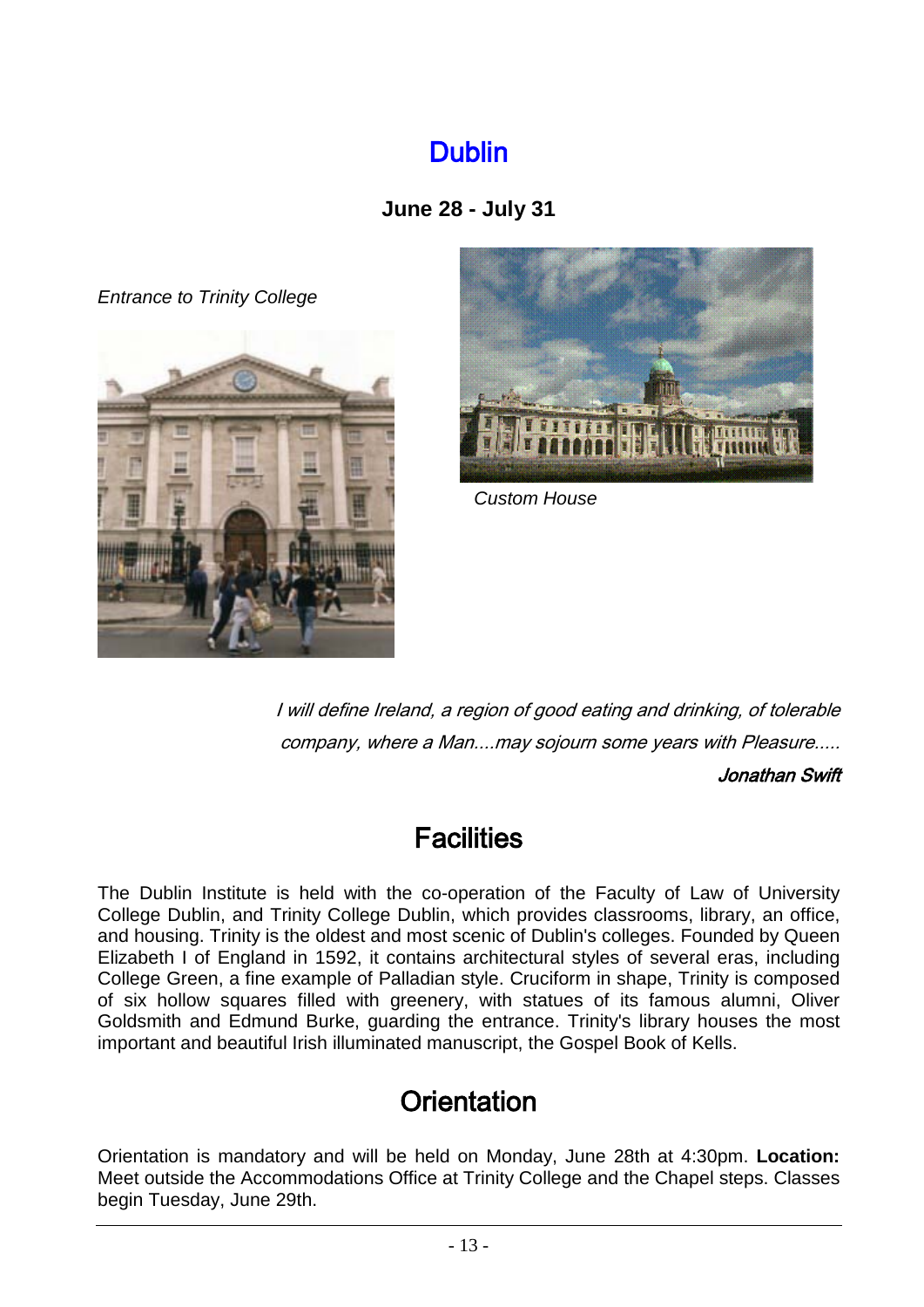## Dublin

### **June 28 - July 31**

<span id="page-12-0"></span>*Entrance to Trinity College*





 *Custom House*

I will define Ireland, a region of good eating and drinking, of tolerable company, where a Man....may sojourn some years with Pleasure.....

Jonathan Swift

## **Facilities**

The Dublin Institute is held with the co-operation of the Faculty of Law of University College Dublin, and Trinity College Dublin, which provides classrooms, library, an office, and housing. Trinity is the oldest and most scenic of Dublin's colleges. Founded by Queen Elizabeth I of England in 1592, it contains architectural styles of several eras, including College Green, a fine example of Palladian style. Cruciform in shape, Trinity is composed of six hollow squares filled with greenery, with statues of its famous alumni, Oliver Goldsmith and Edmund Burke, guarding the entrance. Trinity's library houses the most important and beautiful Irish illuminated manuscript, the Gospel Book of Kells.

## **Orientation**

Orientation is mandatory and will be held on Monday, June 28th at 4:30pm. **Location:** Meet outside the Accommodations Office at Trinity College and the Chapel steps. Classes begin Tuesday, June 29th.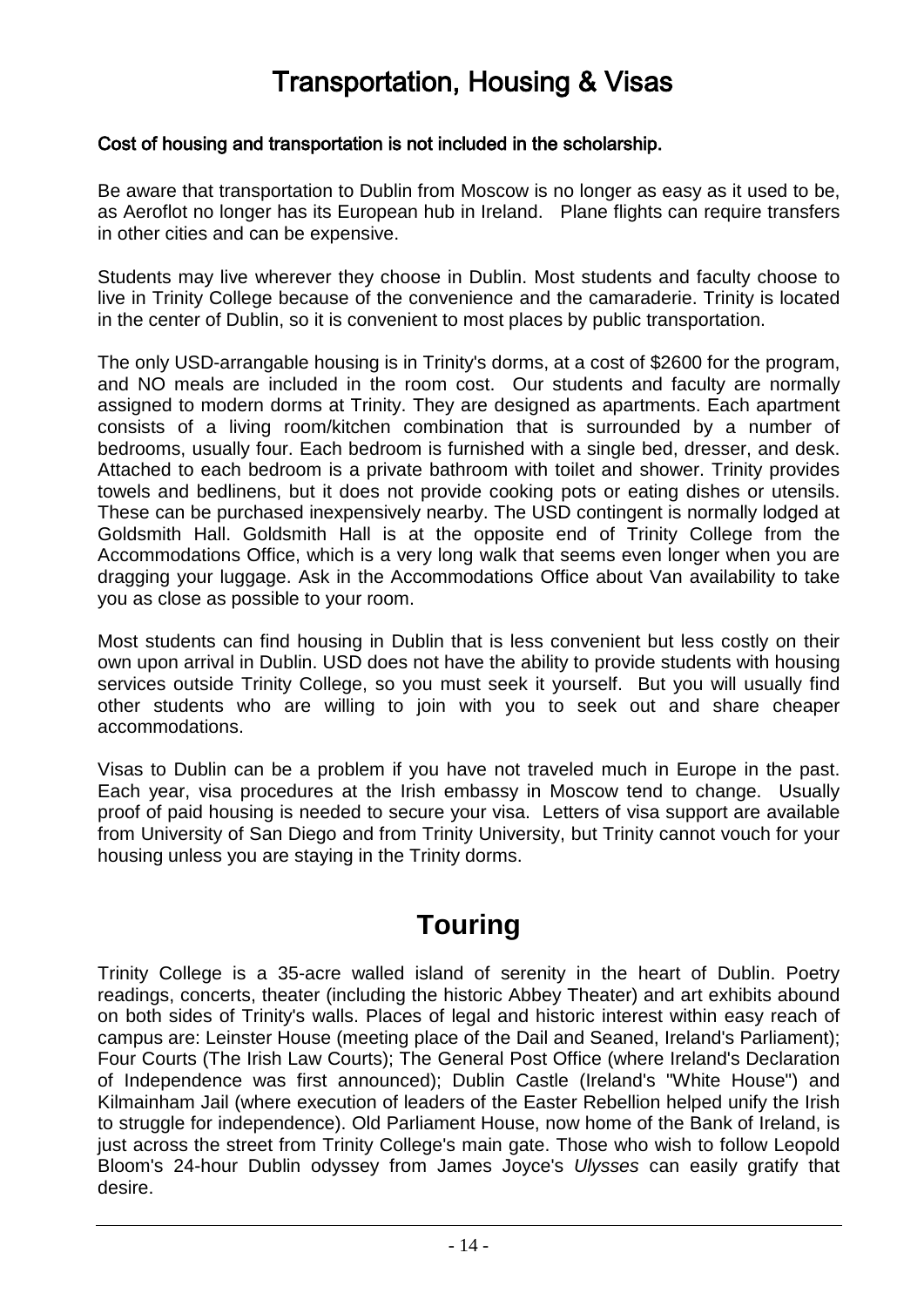## Transportation, Housing & Visas

#### Cost of housing and transportation is not included in the scholarship.

Be aware that transportation to Dublin from Moscow is no longer as easy as it used to be, as Aeroflot no longer has its European hub in Ireland. Plane flights can require transfers in other cities and can be expensive.

Students may live wherever they choose in Dublin. Most students and faculty choose to live in Trinity College because of the convenience and the camaraderie. Trinity is located in the center of Dublin, so it is convenient to most places by public transportation.

The only USD-arrangable housing is in Trinity's dorms, at a cost of \$2600 for the program, and NO meals are included in the room cost. Our students and faculty are normally assigned to modern dorms at Trinity. They are designed as apartments. Each apartment consists of a living room/kitchen combination that is surrounded by a number of bedrooms, usually four. Each bedroom is furnished with a single bed, dresser, and desk. Attached to each bedroom is a private bathroom with toilet and shower. Trinity provides towels and bedlinens, but it does not provide cooking pots or eating dishes or utensils. These can be purchased inexpensively nearby. The USD contingent is normally lodged at Goldsmith Hall. Goldsmith Hall is at the opposite end of Trinity College from the Accommodations Office, which is a very long walk that seems even longer when you are dragging your luggage. Ask in the Accommodations Office about Van availability to take you as close as possible to your room.

Most students can find housing in Dublin that is less convenient but less costly on their own upon arrival in Dublin. USD does not have the ability to provide students with housing services outside Trinity College, so you must seek it yourself. But you will usually find other students who are willing to join with you to seek out and share cheaper accommodations.

Visas to Dublin can be a problem if you have not traveled much in Europe in the past. Each year, visa procedures at the Irish embassy in Moscow tend to change. Usually proof of paid housing is needed to secure your visa. Letters of visa support are available from University of San Diego and from Trinity University, but Trinity cannot vouch for your housing unless you are staying in the Trinity dorms.

### **Touring**

Trinity College is a 35-acre walled island of serenity in the heart of Dublin. Poetry readings, concerts, theater (including the historic Abbey Theater) and art exhibits abound on both sides of Trinity's walls. Places of legal and historic interest within easy reach of campus are: Leinster House (meeting place of the Dail and Seaned, Ireland's Parliament); Four Courts (The Irish Law Courts); The General Post Office (where Ireland's Declaration of Independence was first announced); Dublin Castle (Ireland's "White House") and Kilmainham Jail (where execution of leaders of the Easter Rebellion helped unify the Irish to struggle for independence). Old Parliament House, now home of the Bank of Ireland, is just across the street from Trinity College's main gate. Those who wish to follow Leopold Bloom's 24-hour Dublin odyssey from James Joyce's *Ulysses* can easily gratify that desire.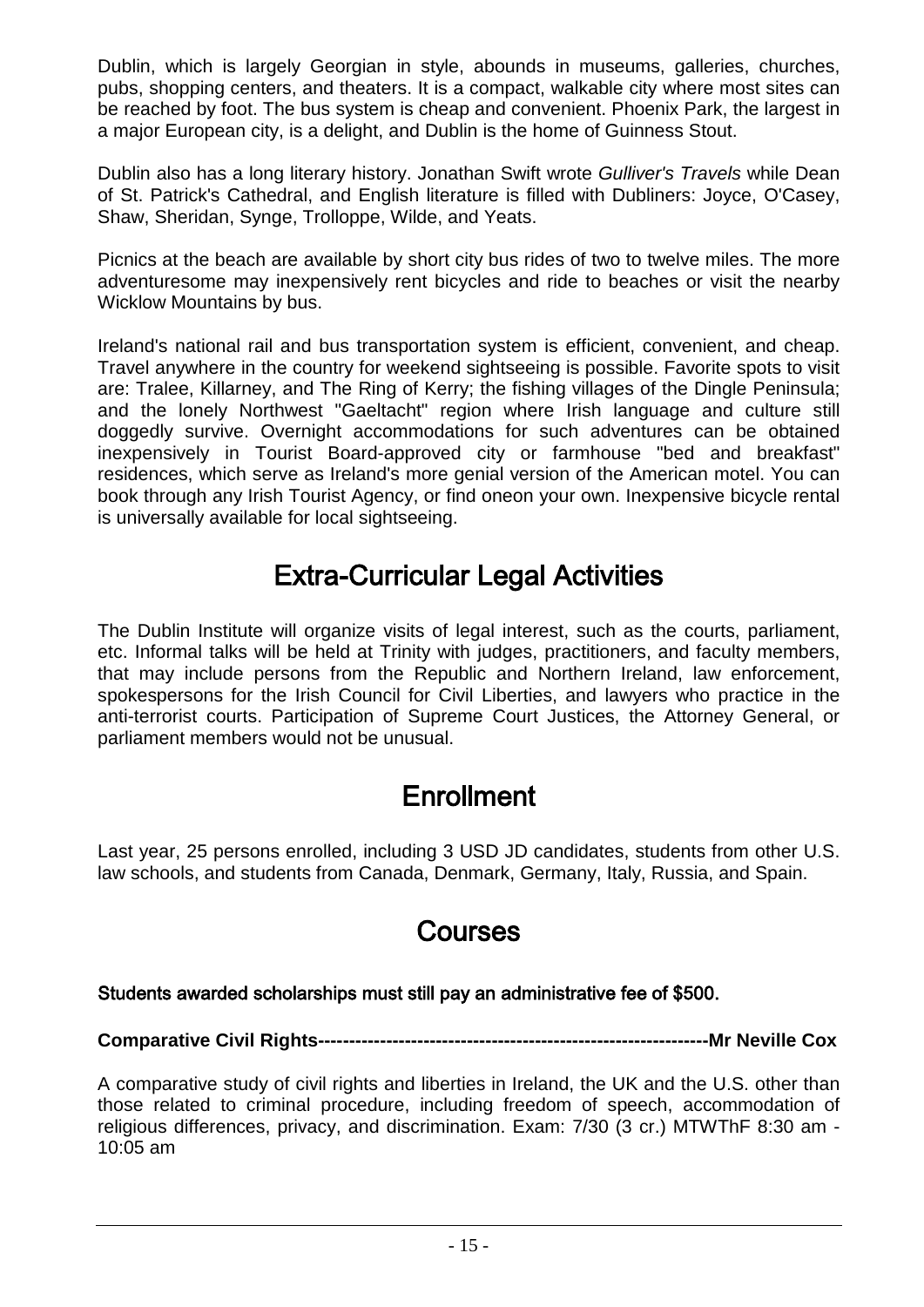Dublin, which is largely Georgian in style, abounds in museums, galleries, churches, pubs, shopping centers, and theaters. It is a compact, walkable city where most sites can be reached by foot. The bus system is cheap and convenient. Phoenix Park, the largest in a major European city, is a delight, and Dublin is the home of Guinness Stout.

Dublin also has a long literary history. Jonathan Swift wrote *Gulliver's Travels* while Dean of St. Patrick's Cathedral, and English literature is filled with Dubliners: Joyce, O'Casey, Shaw, Sheridan, Synge, Trolloppe, Wilde, and Yeats.

Picnics at the beach are available by short city bus rides of two to twelve miles. The more adventuresome may inexpensively rent bicycles and ride to beaches or visit the nearby Wicklow Mountains by bus.

Ireland's national rail and bus transportation system is efficient, convenient, and cheap. Travel anywhere in the country for weekend sightseeing is possible. Favorite spots to visit are: Tralee, Killarney, and The Ring of Kerry; the fishing villages of the Dingle Peninsula; and the lonely Northwest "Gaeltacht" region where Irish language and culture still doggedly survive. Overnight accommodations for such adventures can be obtained inexpensively in Tourist Board-approved city or farmhouse "bed and breakfast" residences, which serve as Ireland's more genial version of the American motel. You can book through any Irish Tourist Agency, or find oneon your own. Inexpensive bicycle rental is universally available for local sightseeing.

## Extra-Curricular Legal Activities

The Dublin Institute will organize visits of legal interest, such as the courts, parliament, etc. Informal talks will be held at Trinity with judges, practitioners, and faculty members, that may include persons from the Republic and Northern Ireland, law enforcement, spokespersons for the Irish Council for Civil Liberties, and lawyers who practice in the anti-terrorist courts. Participation of Supreme Court Justices, the Attorney General, or parliament members would not be unusual.

## **Enrollment**

Last year, 25 persons enrolled, including 3 USD JD candidates, students from other U.S. law schools, and students from Canada, Denmark, Germany, Italy, Russia, and Spain.

## Courses

### Students awarded scholarships must still pay an administrative fee of \$500.

### **Comparative Civil Rights---------------------------------------------------------------Mr Neville Cox**

A comparative study of civil rights and liberties in Ireland, the UK and the U.S. other than those related to criminal procedure, including freedom of speech, accommodation of religious differences, privacy, and discrimination. Exam: 7/30 (3 cr.) MTWThF 8:30 am - 10:05 am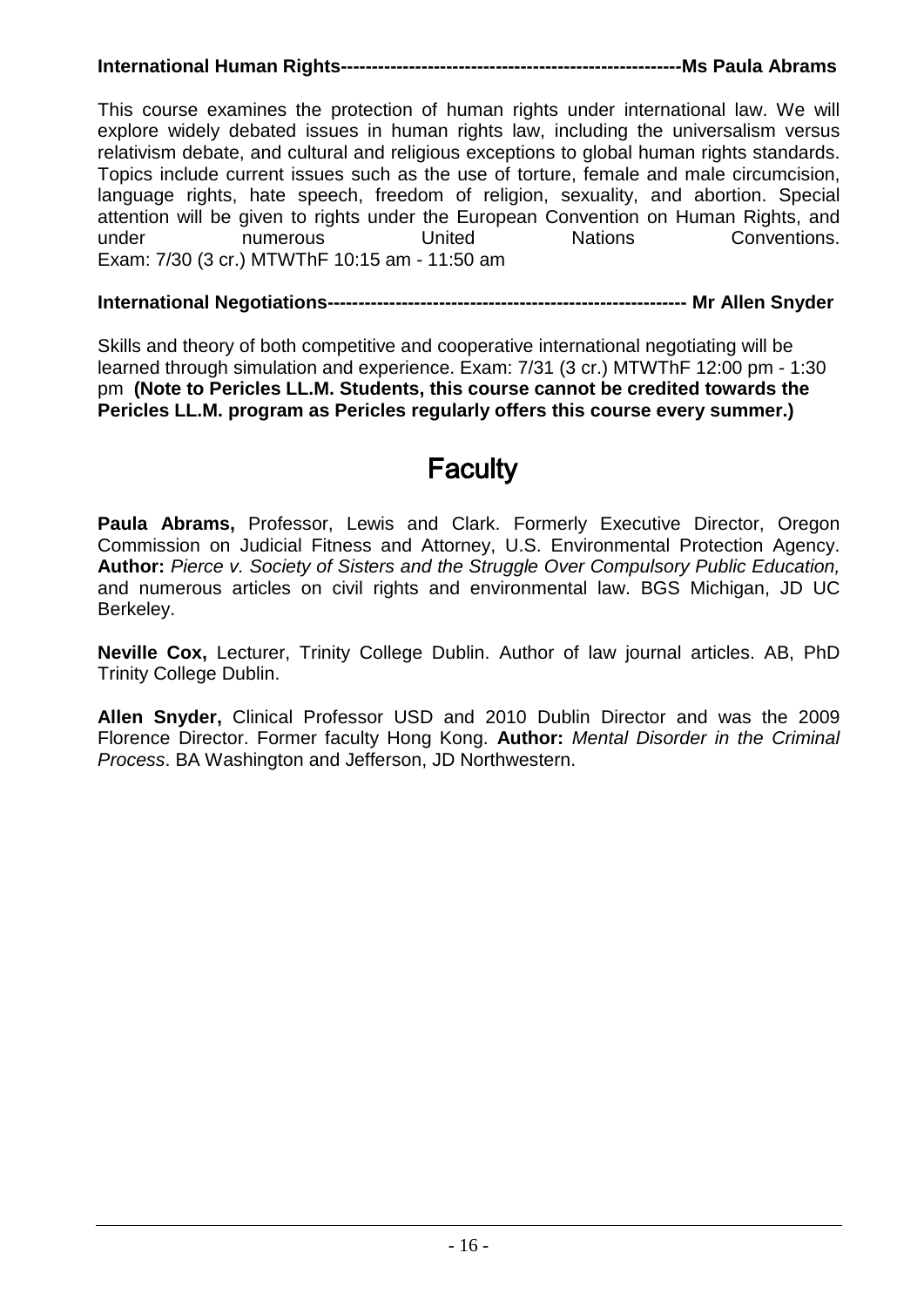### **International Human Rights-------------------------------------------------------Ms Paula Abrams**

This course examines the protection of human rights under international law. We will explore widely debated issues in human rights law, including the universalism versus relativism debate, and cultural and religious exceptions to global human rights standards. Topics include current issues such as the use of torture, female and male circumcision, language rights, hate speech, freedom of religion, sexuality, and abortion. Special attention will be given to rights under the European Convention on Human Rights, and<br>under exameler the United Nations Conventions. under **numerous** United Nations Conventions. Exam: 7/30 (3 cr.) MTWThF 10:15 am - 11:50 am

#### **International Negotiations---------------------------------------------------------- Mr Allen Snyder**

Skills and theory of both competitive and cooperative international negotiating will be learned through simulation and experience. Exam: 7/31 (3 cr.) MTWThF 12:00 pm - 1:30 pm **(Note to Pericles LL.M. Students, this course cannot be credited towards the Pericles LL.M. program as Pericles regularly offers this course every summer.)**

### <span id="page-15-0"></span>**Faculty**

**Paula Abrams,** Professor, Lewis and Clark. Formerly Executive Director, Oregon Commission on Judicial Fitness and Attorney, U.S. Environmental Protection Agency. **Author:** *Pierce v. Society of Sisters and the Struggle Over Compulsory Public Education,* and numerous articles on civil rights and environmental law. BGS Michigan, JD UC Berkeley.

**Neville Cox,** Lecturer, Trinity College Dublin. Author of law journal articles. AB, PhD Trinity College Dublin.

**Allen Snyder,** Clinical Professor USD and 2010 Dublin Director and was the 2009 Florence Director. Former faculty Hong Kong. **Author:** *Mental Disorder in the Criminal Process*. BA Washington and Jefferson, JD Northwestern.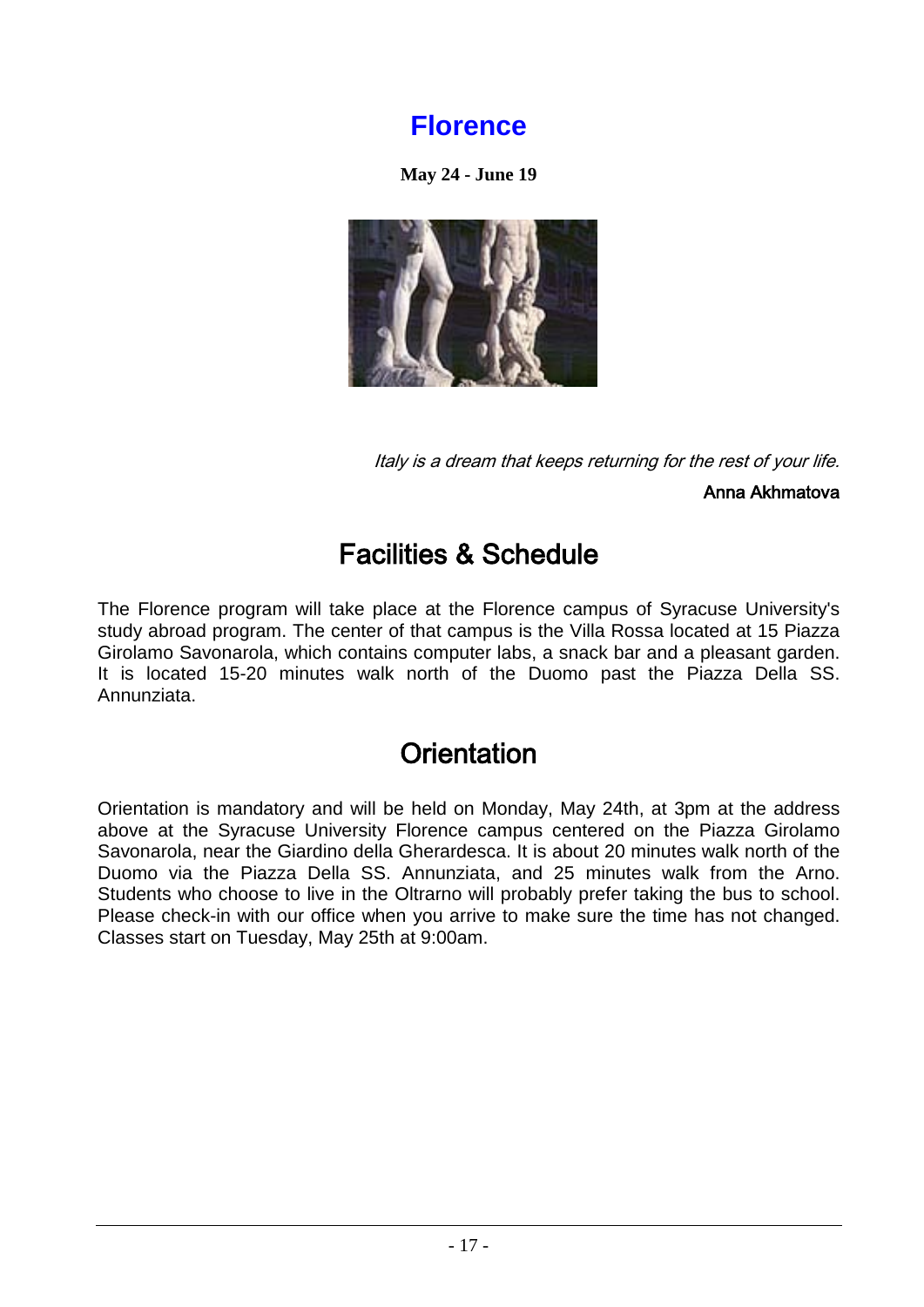### **Florence**

**May 24 - June 19**

<span id="page-16-0"></span>

Italy is a dream that keeps returning for the rest of your life.

Anna Akhmatova

## Facilities & Schedule

The Florence program will take place at the Florence campus of Syracuse University's study abroad program. The center of that campus is the Villa Rossa located at 15 Piazza Girolamo Savonarola, which contains computer labs, a snack bar and a pleasant garden. It is located 15-20 minutes walk north of the Duomo past the Piazza Della SS. Annunziata.

## **Orientation**

Orientation is mandatory and will be held on Monday, May 24th, at 3pm at the address above at the Syracuse University Florence campus centered on the Piazza Girolamo Savonarola, near the Giardino della Gherardesca. It is about 20 minutes walk north of the Duomo via the Piazza Della SS. Annunziata, and 25 minutes walk from the Arno. Students who choose to live in the Oltrarno will probably prefer taking the bus to school. Please check-in with our office when you arrive to make sure the time has not changed. Classes start on Tuesday, May 25th at 9:00am.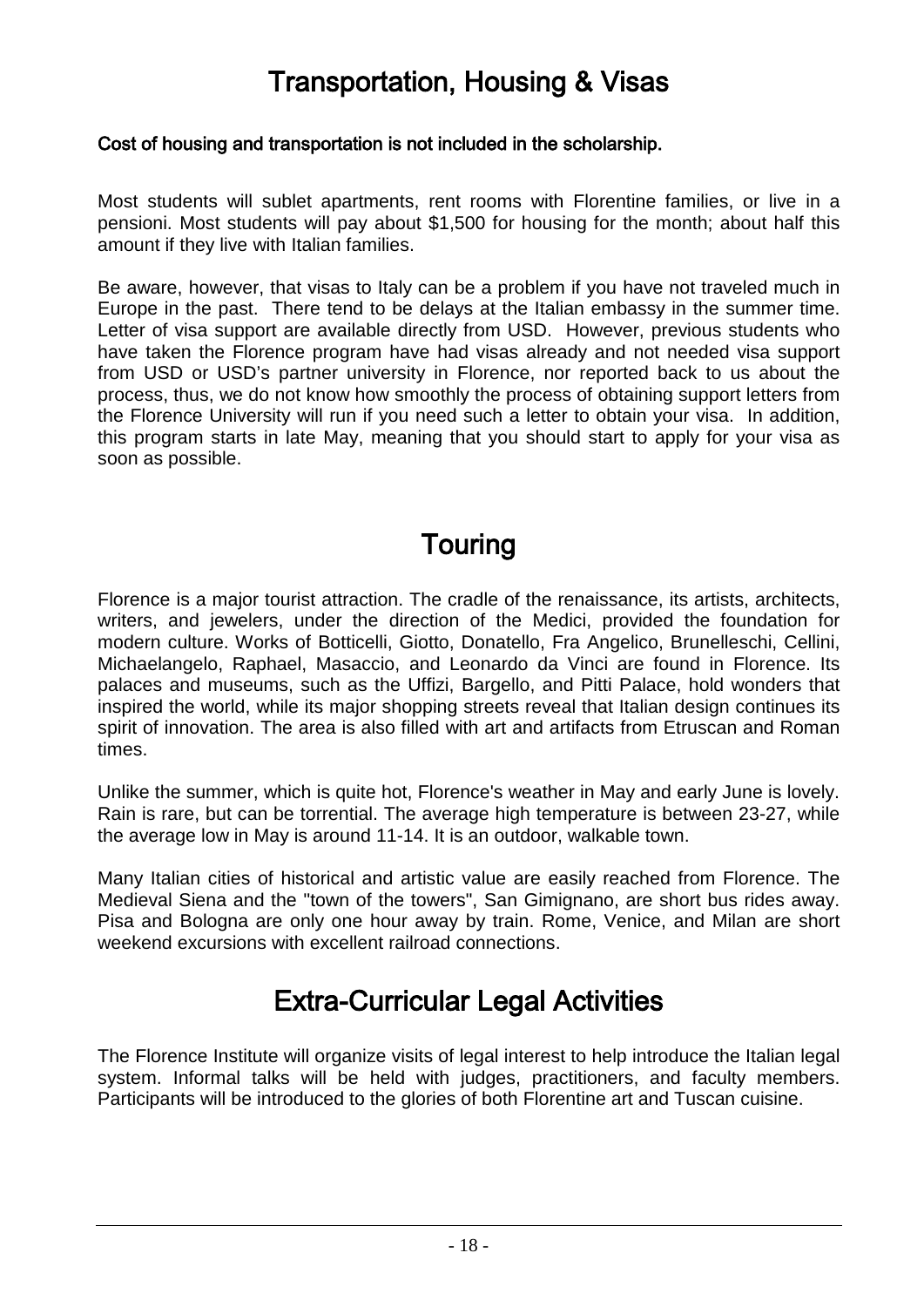## Transportation, Housing & Visas

#### Cost of housing and transportation is not included in the scholarship.

Most students will sublet apartments, rent rooms with Florentine families, or live in a pensioni. Most students will pay about \$1,500 for housing for the month; about half this amount if they live with Italian families.

Be aware, however, that visas to Italy can be a problem if you have not traveled much in Europe in the past. There tend to be delays at the Italian embassy in the summer time. Letter of visa support are available directly from USD. However, previous students who have taken the Florence program have had visas already and not needed visa support from USD or USD's partner university in Florence, nor reported back to us about the process, thus, we do not know how smoothly the process of obtaining support letters from the Florence University will run if you need such a letter to obtain your visa. In addition, this program starts in late May, meaning that you should start to apply for your visa as soon as possible.

## Touring

Florence is a major tourist attraction. The cradle of the renaissance, its artists, architects, writers, and jewelers, under the direction of the Medici, provided the foundation for modern culture. Works of Botticelli, Giotto, Donatello, Fra Angelico, Brunelleschi, Cellini, Michaelangelo, Raphael, Masaccio, and Leonardo da Vinci are found in Florence. Its palaces and museums, such as the Uffizi, Bargello, and Pitti Palace, hold wonders that inspired the world, while its major shopping streets reveal that Italian design continues its spirit of innovation. The area is also filled with art and artifacts from Etruscan and Roman times.

Unlike the summer, which is quite hot, Florence's weather in May and early June is lovely. Rain is rare, but can be torrential. The average high temperature is between 23-27, while the average low in May is around 11-14. It is an outdoor, walkable town.

Many Italian cities of historical and artistic value are easily reached from Florence. The Medieval Siena and the "town of the towers", San Gimignano, are short bus rides away. Pisa and Bologna are only one hour away by train. Rome, Venice, and Milan are short weekend excursions with excellent railroad connections.

## Extra-Curricular Legal Activities

The Florence Institute will organize visits of legal interest to help introduce the Italian legal system. Informal talks will be held with judges, practitioners, and faculty members. Participants will be introduced to the glories of both Florentine art and Tuscan cuisine.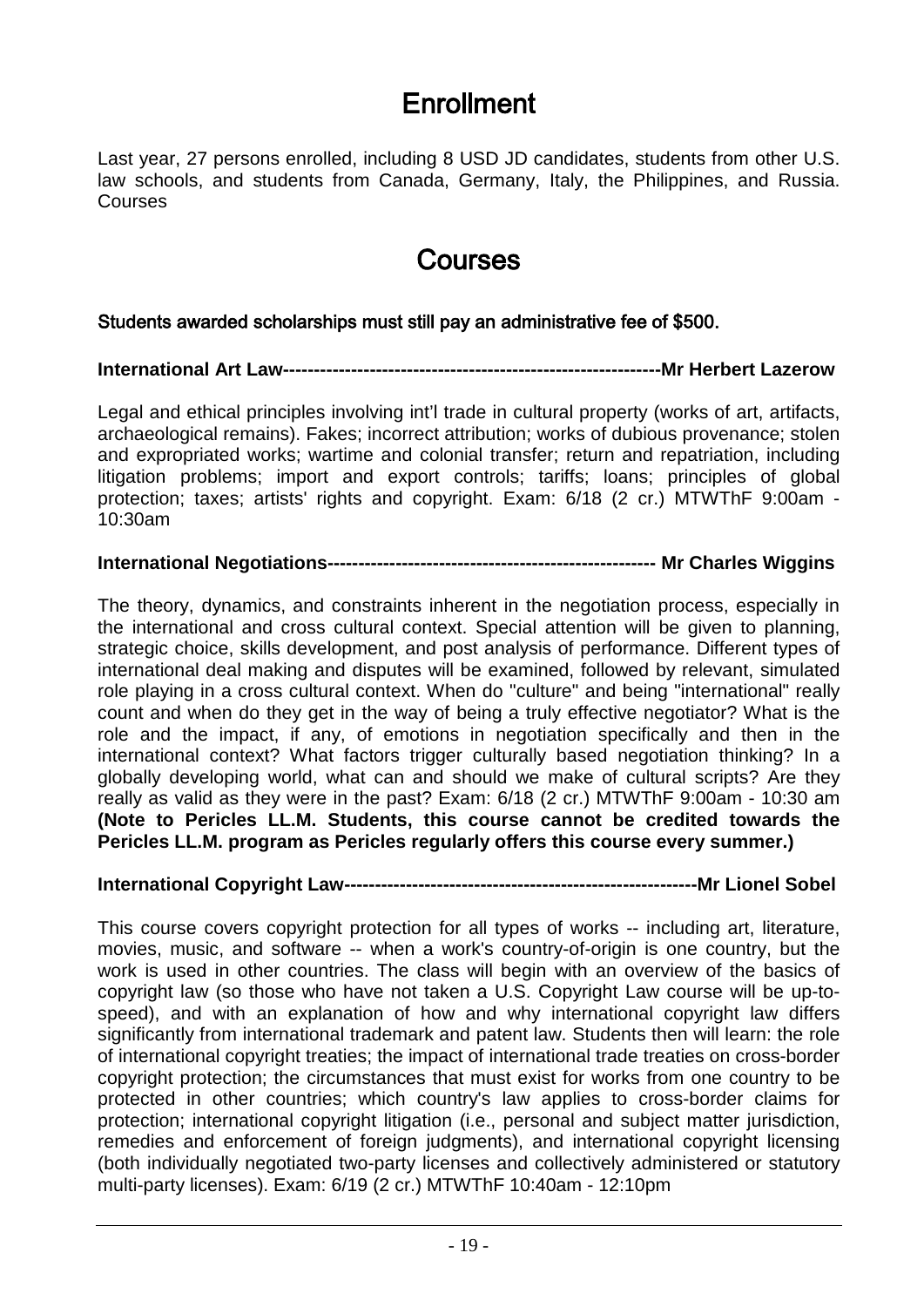## Enrollment

Last year, 27 persons enrolled, including 8 USD JD candidates, students from other U.S. law schools, and students from Canada, Germany, Italy, the Philippines, and Russia. Courses

### Courses

#### Students awarded scholarships must still pay an administrative fee of \$500.

#### **International Art Law-------------------------------------------------------------Mr Herbert Lazerow**

Legal and ethical principles involving int'l trade in cultural property (works of art, artifacts, archaeological remains). Fakes; incorrect attribution; works of dubious provenance; stolen and expropriated works; wartime and colonial transfer; return and repatriation, including litigation problems; import and export controls; tariffs; loans; principles of global protection; taxes; artists' rights and copyright. Exam: 6/18 (2 cr.) MTWThF 9:00am - 10:30am

#### **International Negotiations----------------------------------------------------- Mr Charles Wiggins**

The theory, dynamics, and constraints inherent in the negotiation process, especially in the international and cross cultural context. Special attention will be given to planning, strategic choice, skills development, and post analysis of performance. Different types of international deal making and disputes will be examined, followed by relevant, simulated role playing in a cross cultural context. When do "culture" and being "international" really count and when do they get in the way of being a truly effective negotiator? What is the role and the impact, if any, of emotions in negotiation specifically and then in the international context? What factors trigger culturally based negotiation thinking? In a globally developing world, what can and should we make of cultural scripts? Are they really as valid as they were in the past? Exam: 6/18 (2 cr.) MTWThF 9:00am - 10:30 am **(Note to Pericles LL.M. Students, this course cannot be credited towards the Pericles LL.M. program as Pericles regularly offers this course every summer.)**

#### **International Copyright Law---------------------------------------------------------Mr Lionel Sobel**

This course covers copyright protection for all types of works -- including art, literature, movies, music, and software -- when a work's country-of-origin is one country, but the work is used in other countries. The class will begin with an overview of the basics of copyright law (so those who have not taken a U.S. Copyright Law course will be up-tospeed), and with an explanation of how and why international copyright law differs significantly from international trademark and patent law. Students then will learn: the role of international copyright treaties; the impact of international trade treaties on cross-border copyright protection; the circumstances that must exist for works from one country to be protected in other countries; which country's law applies to cross-border claims for protection; international copyright litigation (i.e., personal and subject matter jurisdiction, remedies and enforcement of foreign judgments), and international copyright licensing (both individually negotiated two-party licenses and collectively administered or statutory multi-party licenses). Exam: 6/19 (2 cr.) MTWThF 10:40am - 12:10pm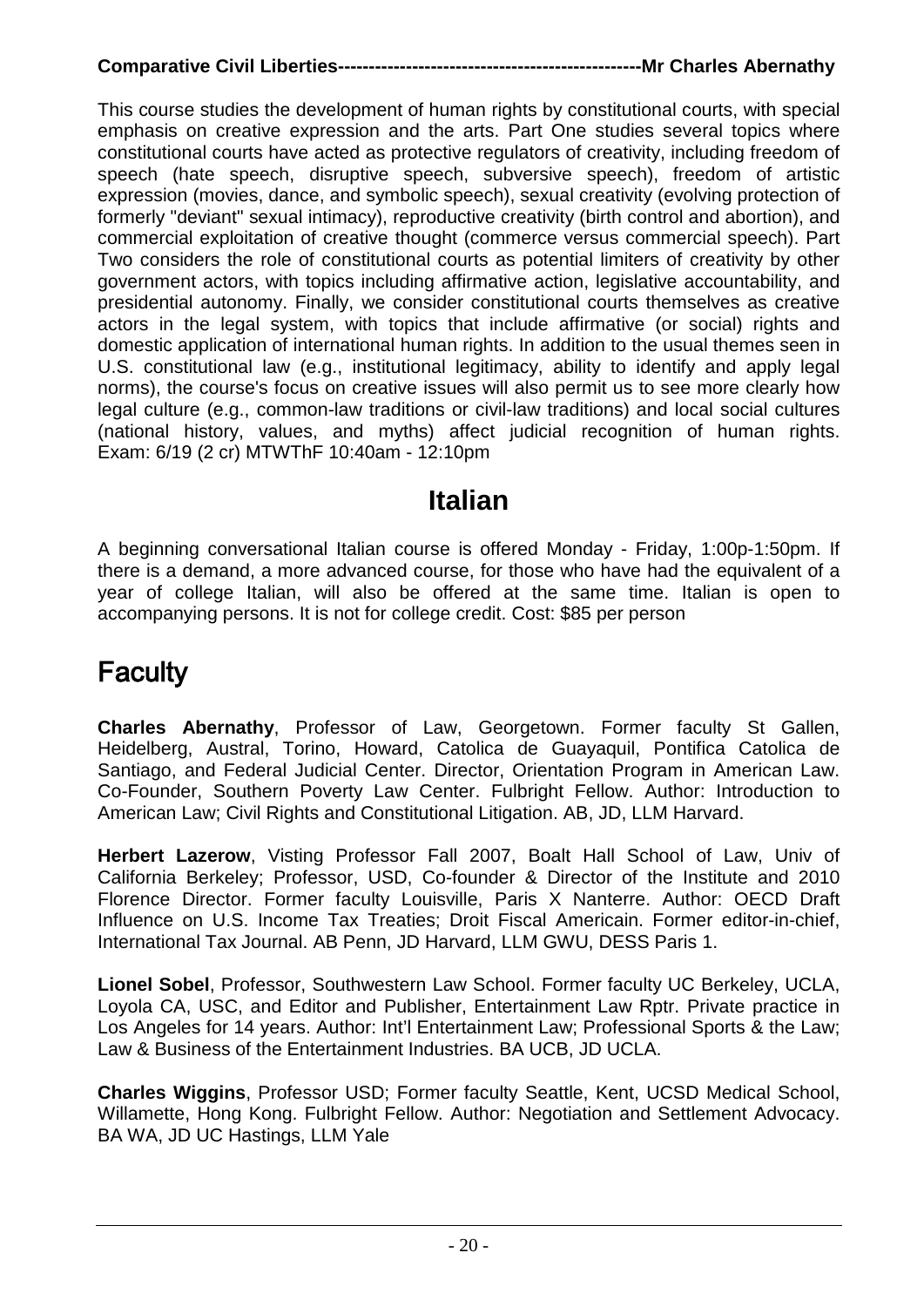### **Comparative Civil Liberties-------------------------------------------------Mr Charles Abernathy**

This course studies the development of human rights by constitutional courts, with special emphasis on creative expression and the arts. Part One studies several topics where constitutional courts have acted as protective regulators of creativity, including freedom of speech (hate speech, disruptive speech, subversive speech), freedom of artistic expression (movies, dance, and symbolic speech), sexual creativity (evolving protection of formerly "deviant" sexual intimacy), reproductive creativity (birth control and abortion), and commercial exploitation of creative thought (commerce versus commercial speech). Part Two considers the role of constitutional courts as potential limiters of creativity by other government actors, with topics including affirmative action, legislative accountability, and presidential autonomy. Finally, we consider constitutional courts themselves as creative actors in the legal system, with topics that include affirmative (or social) rights and domestic application of international human rights. In addition to the usual themes seen in U.S. constitutional law (e.g., institutional legitimacy, ability to identify and apply legal norms), the course's focus on creative issues will also permit us to see more clearly how legal culture (e.g., common-law traditions or civil-law traditions) and local social cultures (national history, values, and myths) affect judicial recognition of human rights. Exam: 6/19 (2 cr) MTWThF 10:40am - 12:10pm

### **Italian**

A beginning conversational Italian course is offered Monday - Friday, 1:00p-1:50pm. If there is a demand, a more advanced course, for those who have had the equivalent of a year of college Italian, will also be offered at the same time. Italian is open to accompanying persons. It is not for college credit. Cost: \$85 per person

## **Faculty**

**Charles Abernathy**, Professor of Law, Georgetown. Former faculty St Gallen, Heidelberg, Austral, Torino, Howard, Catolica de Guayaquil, Pontifica Catolica de Santiago, and Federal Judicial Center. Director, Orientation Program in American Law. Co-Founder, Southern Poverty Law Center. Fulbright Fellow. Author: Introduction to American Law; Civil Rights and Constitutional Litigation. AB, JD, LLM Harvard.

**Herbert Lazerow**, Visting Professor Fall 2007, Boalt Hall School of Law, Univ of California Berkeley; Professor, USD, Co-founder & Director of the Institute and 2010 Florence Director. Former faculty Louisville, Paris X Nanterre. Author: OECD Draft Influence on U.S. Income Tax Treaties; Droit Fiscal Americain. Former editor-in-chief, International Tax Journal. AB Penn, JD Harvard, LLM GWU, DESS Paris 1.

**Lionel Sobel**, Professor, Southwestern Law School. Former faculty UC Berkeley, UCLA, Loyola CA, USC, and Editor and Publisher, Entertainment Law Rptr. Private practice in Los Angeles for 14 years. Author: Int'l Entertainment Law; Professional Sports & the Law; Law & Business of the Entertainment Industries. BA UCB, JD UCLA.

**Charles Wiggins**, Professor USD; Former faculty Seattle, Kent, UCSD Medical School, Willamette, Hong Kong. Fulbright Fellow. Author: Negotiation and Settlement Advocacy. BA WA, JD UC Hastings, LLM Yale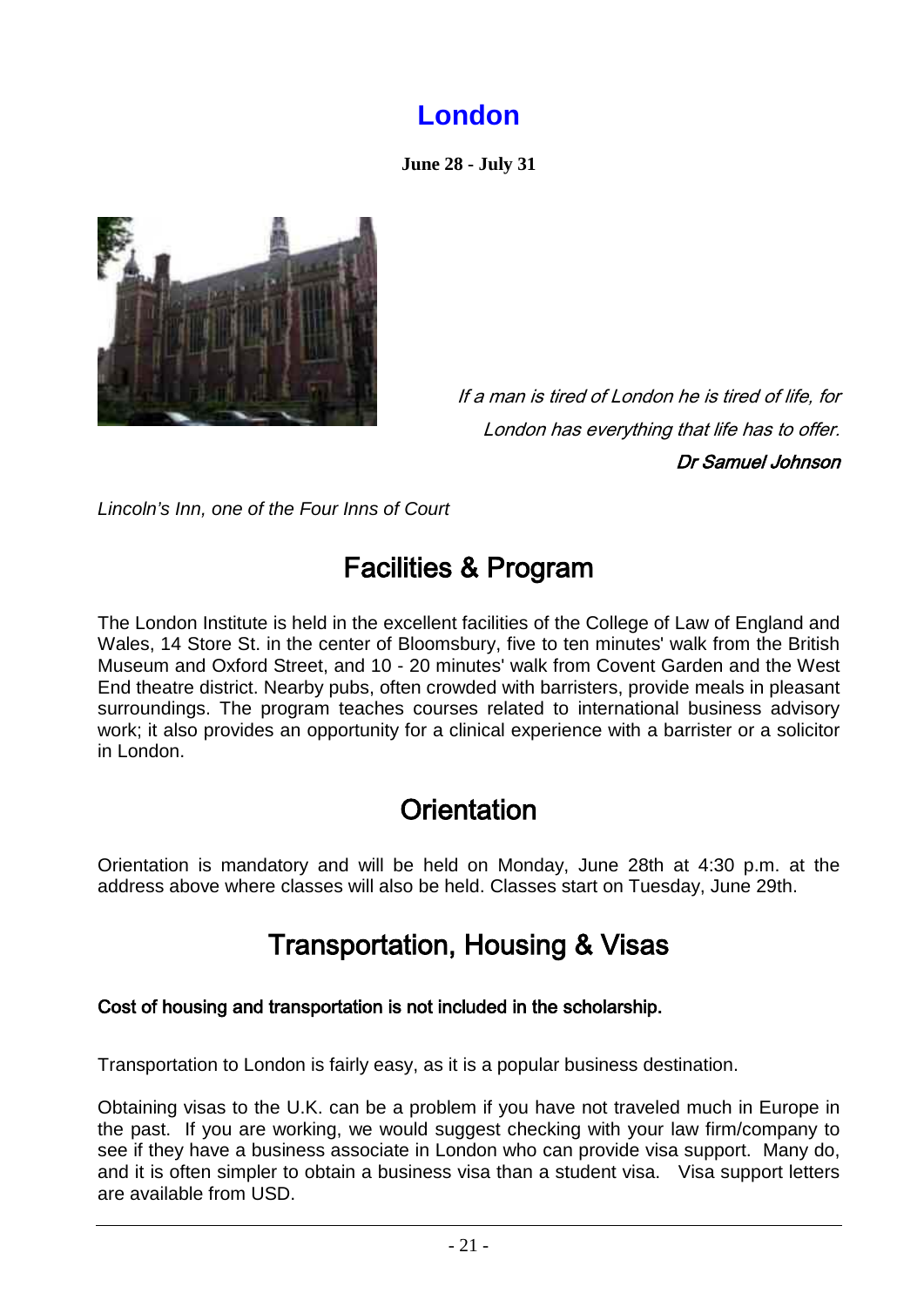## **London**

**June 28 - July 31**

<span id="page-20-0"></span>

If a man is tired of London he is tired of life, for London has everything that life has to offer. Dr Samuel Johnson

*Lincoln's Inn, one of the Four Inns of Court*

## Facilities & Program

The London Institute is held in the excellent facilities of the College of Law of England and Wales, 14 Store St. in the center of Bloomsbury, five to ten minutes' walk from the British Museum and Oxford Street, and 10 - 20 minutes' walk from Covent Garden and the West End theatre district. Nearby pubs, often crowded with barristers, provide meals in pleasant surroundings. The program teaches courses related to international business advisory work; it also provides an opportunity for a clinical experience with a barrister or a solicitor in London.

## **Orientation**

Orientation is mandatory and will be held on Monday, June 28th at 4:30 p.m. at the address above where classes will also be held. Classes start on Tuesday, June 29th.

## Transportation, Housing & Visas

### Cost of housing and transportation is not included in the scholarship.

Transportation to London is fairly easy, as it is a popular business destination.

Obtaining visas to the U.K. can be a problem if you have not traveled much in Europe in the past. If you are working, we would suggest checking with your law firm/company to see if they have a business associate in London who can provide visa support. Many do, and it is often simpler to obtain a business visa than a student visa. Visa support letters are available from USD.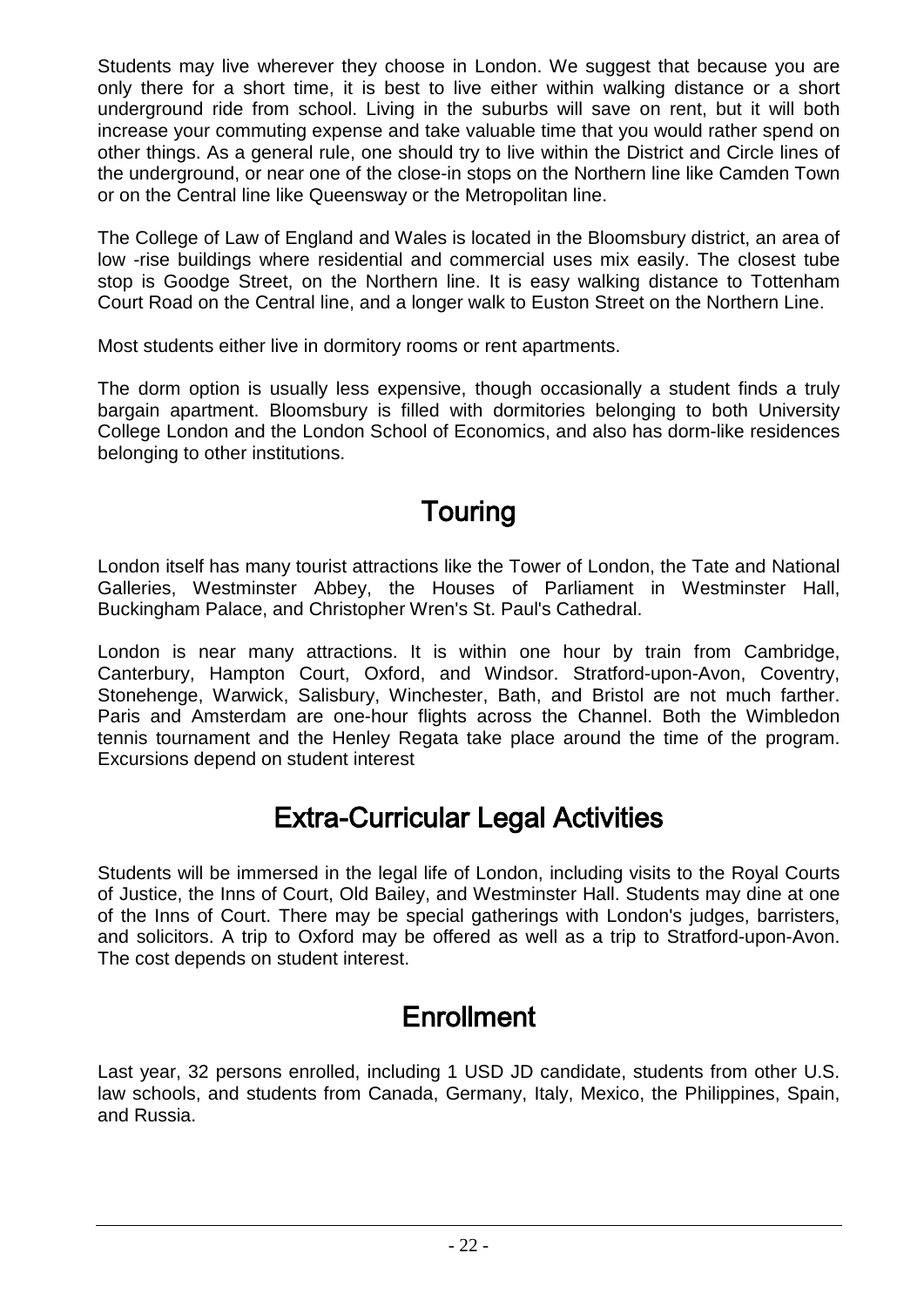Students may live wherever they choose in London. We suggest that because you are only there for a short time, it is best to live either within walking distance or a short underground ride from school. Living in the suburbs will save on rent, but it will both increase your commuting expense and take valuable time that you would rather spend on other things. As a general rule, one should try to live within the District and Circle lines of the underground, or near one of the close-in stops on the Northern line like Camden Town or on the Central line like Queensway or the Metropolitan line.

The College of Law of England and Wales is located in the Bloomsbury district, an area of low -rise buildings where residential and commercial uses mix easily. The closest tube stop is Goodge Street, on the Northern line. It is easy walking distance to Tottenham Court Road on the Central line, and a longer walk to Euston Street on the Northern Line.

Most students either live in dormitory rooms or rent apartments.

The dorm option is usually less expensive, though occasionally a student finds a truly bargain apartment. Bloomsbury is filled with dormitories belonging to both University College London and the London School of Economics, and also has dorm-like residences belonging to other institutions.

## Touring

London itself has many tourist attractions like the Tower of London, the Tate and National Galleries, Westminster Abbey, the Houses of Parliament in Westminster Hall, Buckingham Palace, and Christopher Wren's St. Paul's Cathedral.

London is near many attractions. It is within one hour by train from Cambridge, Canterbury, Hampton Court, Oxford, and Windsor. Stratford-upon-Avon, Coventry, Stonehenge, Warwick, Salisbury, Winchester, Bath, and Bristol are not much farther. Paris and Amsterdam are one-hour flights across the Channel. Both the Wimbledon tennis tournament and the Henley Regata take place around the time of the program. Excursions depend on student interest

## Extra-Curricular Legal Activities

Students will be immersed in the legal life of London, including visits to the Royal Courts of Justice, the Inns of Court, Old Bailey, and Westminster Hall. Students may dine at one of the Inns of Court. There may be special gatherings with London's judges, barristers, and solicitors. A trip to Oxford may be offered as well as a trip to Stratford-upon-Avon. The cost depends on student interest.

## **Enrollment**

Last year, 32 persons enrolled, including 1 USD JD candidate, students from other U.S. law schools, and students from Canada, Germany, Italy, Mexico, the Philippines, Spain, and Russia.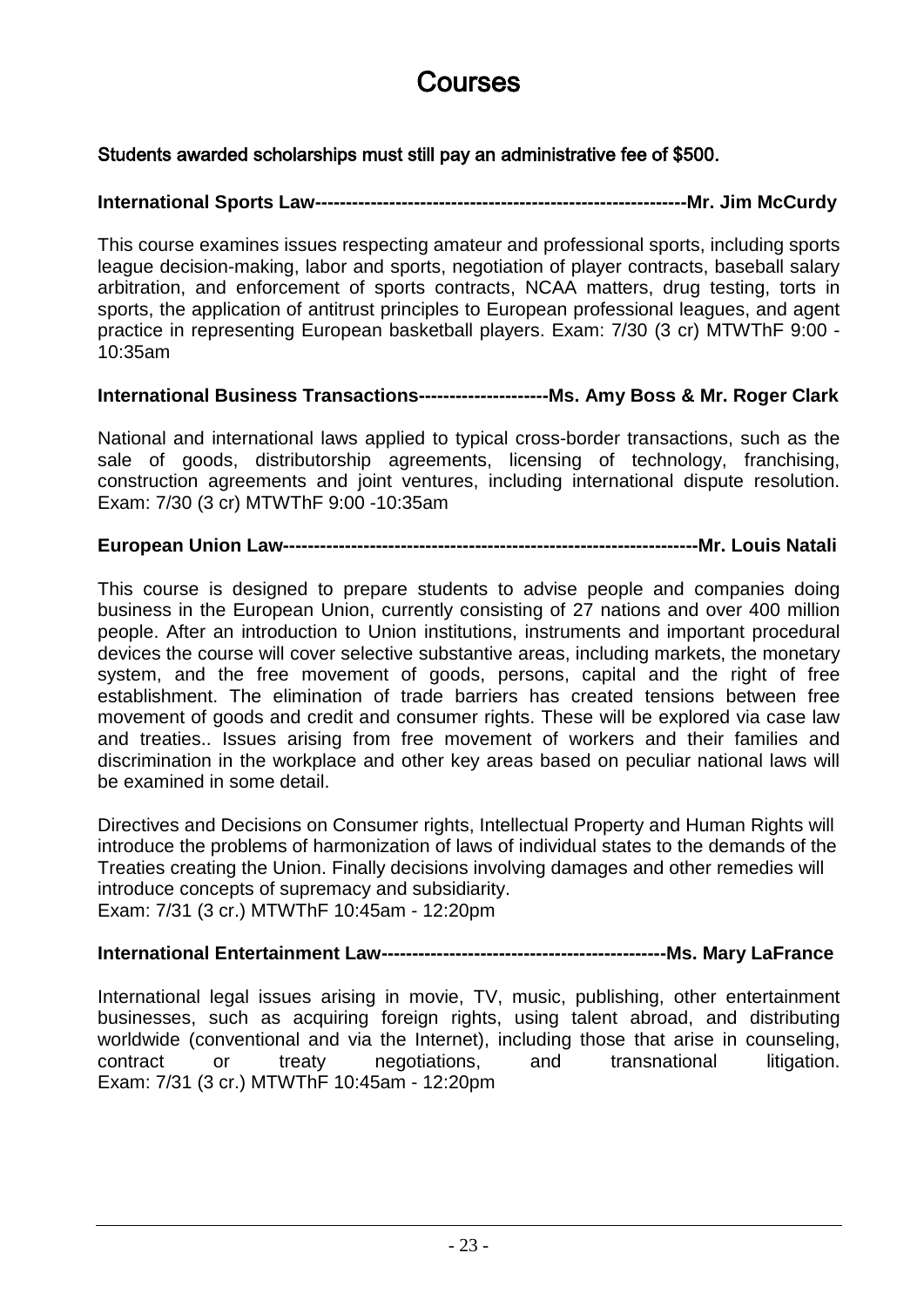## Courses

### Students awarded scholarships must still pay an administrative fee of \$500.

#### **International Sports Law------------------------------------------------------------Mr. Jim McCurdy**

This course examines issues respecting amateur and professional sports, including sports league decision-making, labor and sports, negotiation of player contracts, baseball salary arbitration, and enforcement of sports contracts, NCAA matters, drug testing, torts in sports, the application of antitrust principles to European professional leagues, and agent practice in representing European basketball players. Exam: 7/30 (3 cr) MTWThF 9:00 - 10:35am

#### **International Business Transactions---------------------Ms. Amy Boss & Mr. Roger Clark**

National and international laws applied to typical cross-border transactions, such as the sale of goods, distributorship agreements, licensing of technology, franchising, construction agreements and joint ventures, including international dispute resolution. Exam: 7/30 (3 cr) MTWThF 9:00 -10:35am

#### **European Union Law-------------------------------------------------------------------Mr. Louis Natali**

This course is designed to prepare students to advise people and companies doing business in the European Union, currently consisting of 27 nations and over 400 million people. After an introduction to Union institutions, instruments and important procedural devices the course will cover selective substantive areas, including markets, the monetary system, and the free movement of goods, persons, capital and the right of free establishment. The elimination of trade barriers has created tensions between free movement of goods and credit and consumer rights. These will be explored via case law and treaties.. Issues arising from free movement of workers and their families and discrimination in the workplace and other key areas based on peculiar national laws will be examined in some detail.

Directives and Decisions on Consumer rights, Intellectual Property and Human Rights will introduce the problems of harmonization of laws of individual states to the demands of the Treaties creating the Union. Finally decisions involving damages and other remedies will introduce concepts of supremacy and subsidiarity. Exam: 7/31 (3 cr.) MTWThF 10:45am - 12:20pm

#### **International Entertainment Law----------------------------------------------Ms. Mary LaFrance**

International legal issues arising in movie, TV, music, publishing, other entertainment businesses, such as acquiring foreign rights, using talent abroad, and distributing worldwide (conventional and via the Internet), including those that arise in counseling, contract or treaty negotiations, and transnational litigation. Exam: 7/31 (3 cr.) MTWThF 10:45am - 12:20pm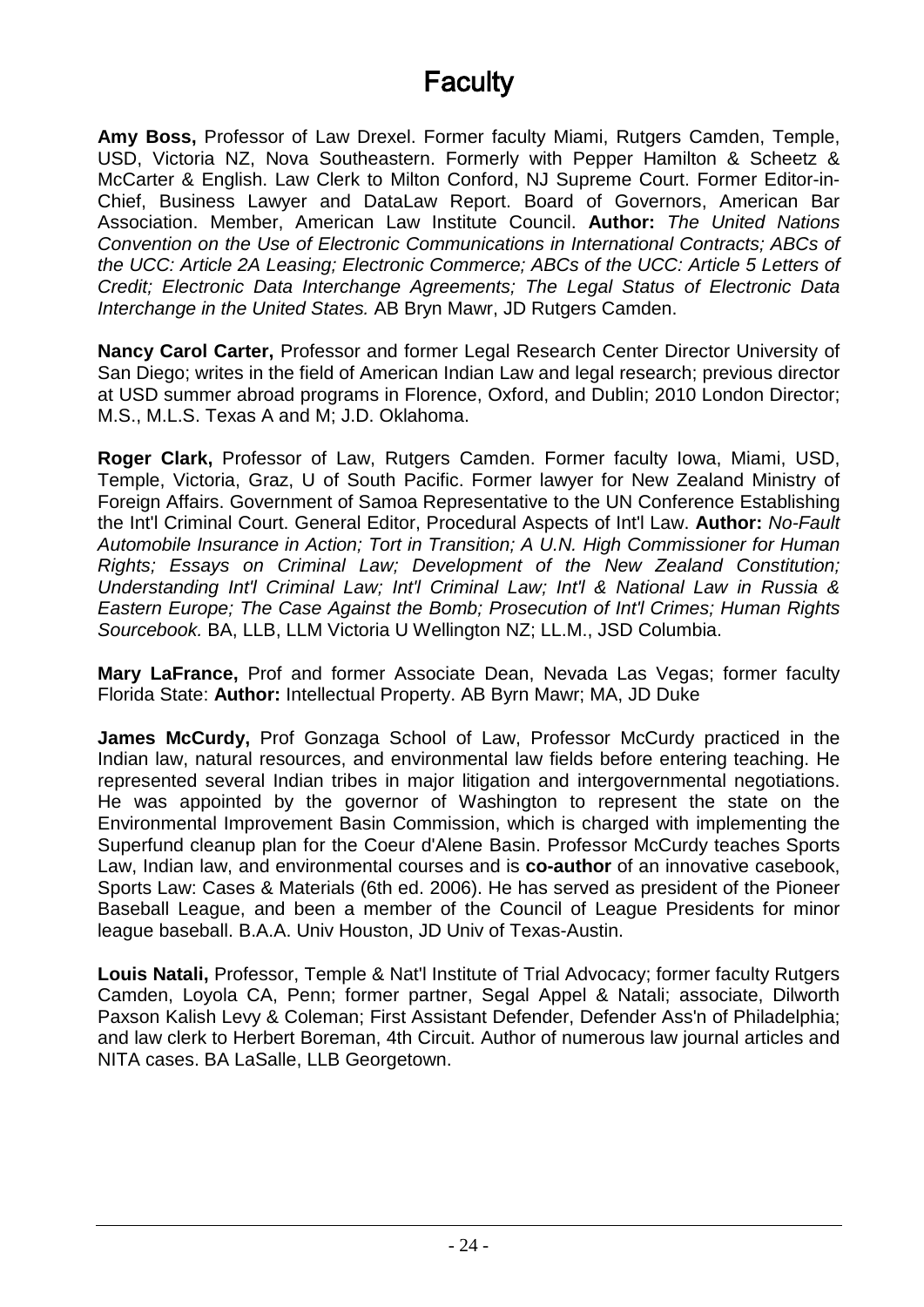## **Faculty**

**Amy Boss,** Professor of Law Drexel. Former faculty Miami, Rutgers Camden, Temple, USD, Victoria NZ, Nova Southeastern. Formerly with Pepper Hamilton & Scheetz & McCarter & English. Law Clerk to Milton Conford, NJ Supreme Court. Former Editor-in-Chief, Business Lawyer and DataLaw Report. Board of Governors, American Bar Association. Member, American Law Institute Council. **Author:** *The United Nations Convention on the Use of Electronic Communications in International Contracts; ABCs of the UCC: Article 2A Leasing; Electronic Commerce; ABCs of the UCC: Article 5 Letters of Credit; Electronic Data Interchange Agreements; The Legal Status of Electronic Data Interchange in the United States.* AB Bryn Mawr, JD Rutgers Camden.

**Nancy Carol Carter,** Professor and former Legal Research Center Director University of San Diego; writes in the field of American Indian Law and legal research; previous director at USD summer abroad programs in Florence, Oxford, and Dublin; 2010 London Director; M.S., M.L.S. Texas A and M; J.D. Oklahoma.

**Roger Clark,** Professor of Law, Rutgers Camden. Former faculty Iowa, Miami, USD, Temple, Victoria, Graz, U of South Pacific. Former lawyer for New Zealand Ministry of Foreign Affairs. Government of Samoa Representative to the UN Conference Establishing the Int'l Criminal Court. General Editor, Procedural Aspects of Int'l Law. **Author:** *No-Fault Automobile Insurance in Action; Tort in Transition; A U.N. High Commissioner for Human Rights; Essays on Criminal Law; Development of the New Zealand Constitution; Understanding Int'l Criminal Law; Int'l Criminal Law; Int'l & National Law in Russia & Eastern Europe; The Case Against the Bomb; Prosecution of Int'l Crimes; Human Rights Sourcebook.* BA, LLB, LLM Victoria U Wellington NZ; LL.M., JSD Columbia.

**Mary LaFrance,** Prof and former Associate Dean, Nevada Las Vegas; former faculty Florida State: **Author:** Intellectual Property. AB Byrn Mawr; MA, JD Duke

**James McCurdy,** Prof Gonzaga School of Law, Professor McCurdy practiced in the Indian law, natural resources, and environmental law fields before entering teaching. He represented several Indian tribes in major litigation and intergovernmental negotiations. He was appointed by the governor of Washington to represent the state on the Environmental Improvement Basin Commission, which is charged with implementing the Superfund cleanup plan for the Coeur d'Alene Basin. Professor McCurdy teaches Sports Law, Indian law, and environmental courses and is **co-author** of an innovative casebook, Sports Law: Cases & Materials (6th ed. 2006). He has served as president of the Pioneer Baseball League, and been a member of the Council of League Presidents for minor league baseball. B.A.A. Univ Houston, JD Univ of Texas-Austin.

**Louis Natali,** Professor, Temple & Nat'l Institute of Trial Advocacy; former faculty Rutgers Camden, Loyola CA, Penn; former partner, Segal Appel & Natali; associate, Dilworth Paxson Kalish Levy & Coleman; First Assistant Defender, Defender Ass'n of Philadelphia; and law clerk to Herbert Boreman, 4th Circuit. Author of numerous law journal articles and NITA cases. BA LaSalle, LLB Georgetown.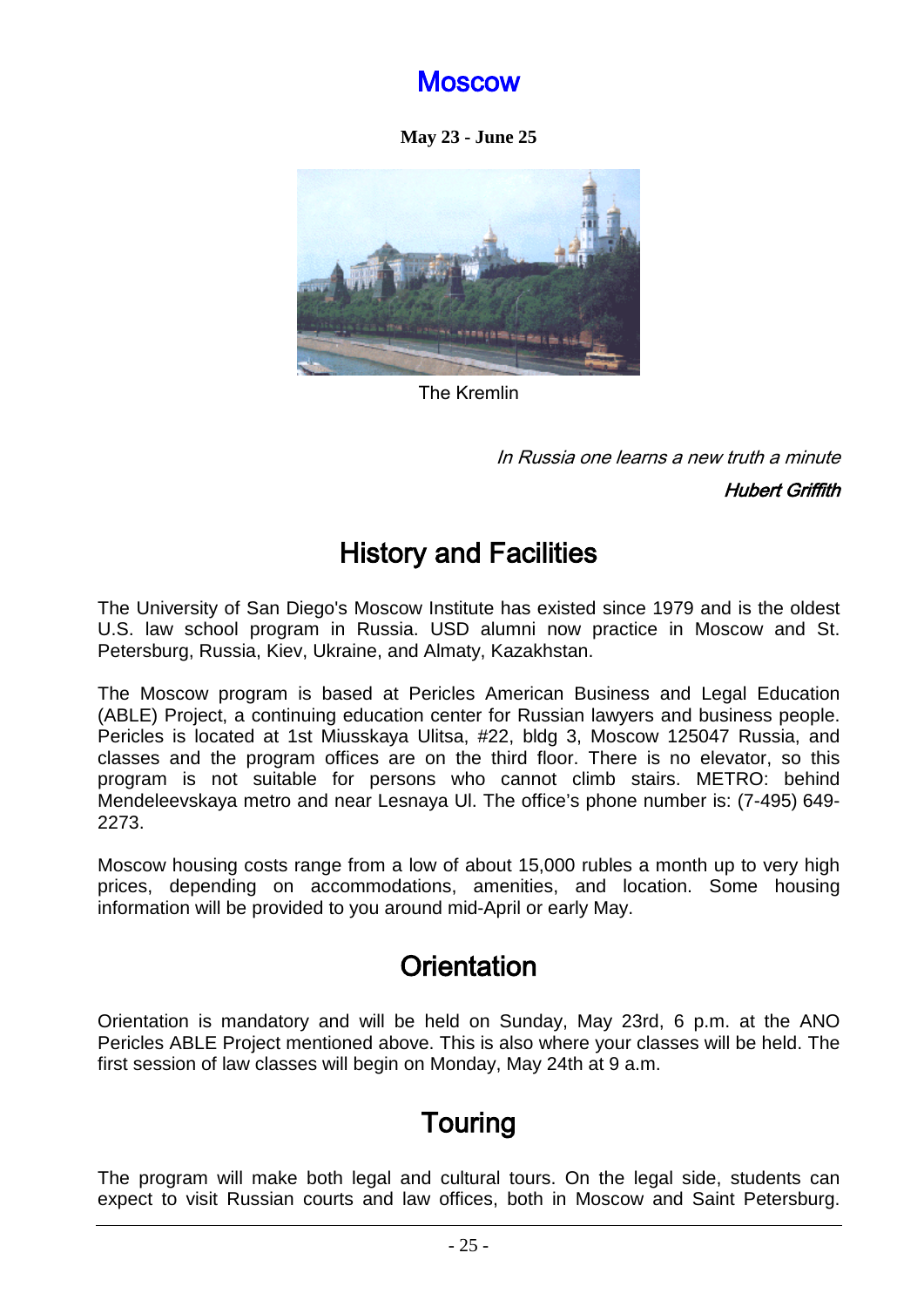### Moscow

**May 23 - June 25** 

<span id="page-24-0"></span>

The Kremlin

In Russia one learns a new truth a minute

Hubert Griffith

## History and Facilities

The University of San Diego's Moscow Institute has existed since 1979 and is the oldest U.S. law school program in Russia. USD alumni now practice in Moscow and St. Petersburg, Russia, Kiev, Ukraine, and Almaty, Kazakhstan.

The Moscow program is based at Pericles American Business and Legal Education (ABLE) Project, a continuing education center for Russian lawyers and business people. Pericles is located at 1st Miusskaya Ulitsa, #22, bldg 3, Moscow 125047 Russia, and classes and the program offices are on the third floor. There is no elevator, so this program is not suitable for persons who cannot climb stairs. METRO: behind Mendeleevskaya metro and near Lesnaya Ul. The office's phone number is: (7-495) 649- 2273.

Moscow housing costs range from a low of about 15,000 rubles a month up to very high prices, depending on accommodations, amenities, and location. Some housing information will be provided to you around mid-April or early May.

## **Orientation**

Orientation is mandatory and will be held on Sunday, May 23rd, 6 p.m. at the ANO Pericles ABLE Project mentioned above. This is also where your classes will be held. The first session of law classes will begin on Monday, May 24th at 9 a.m.

## Touring

The program will make both legal and cultural tours. On the legal side, students can expect to visit Russian courts and law offices, both in Moscow and Saint Petersburg.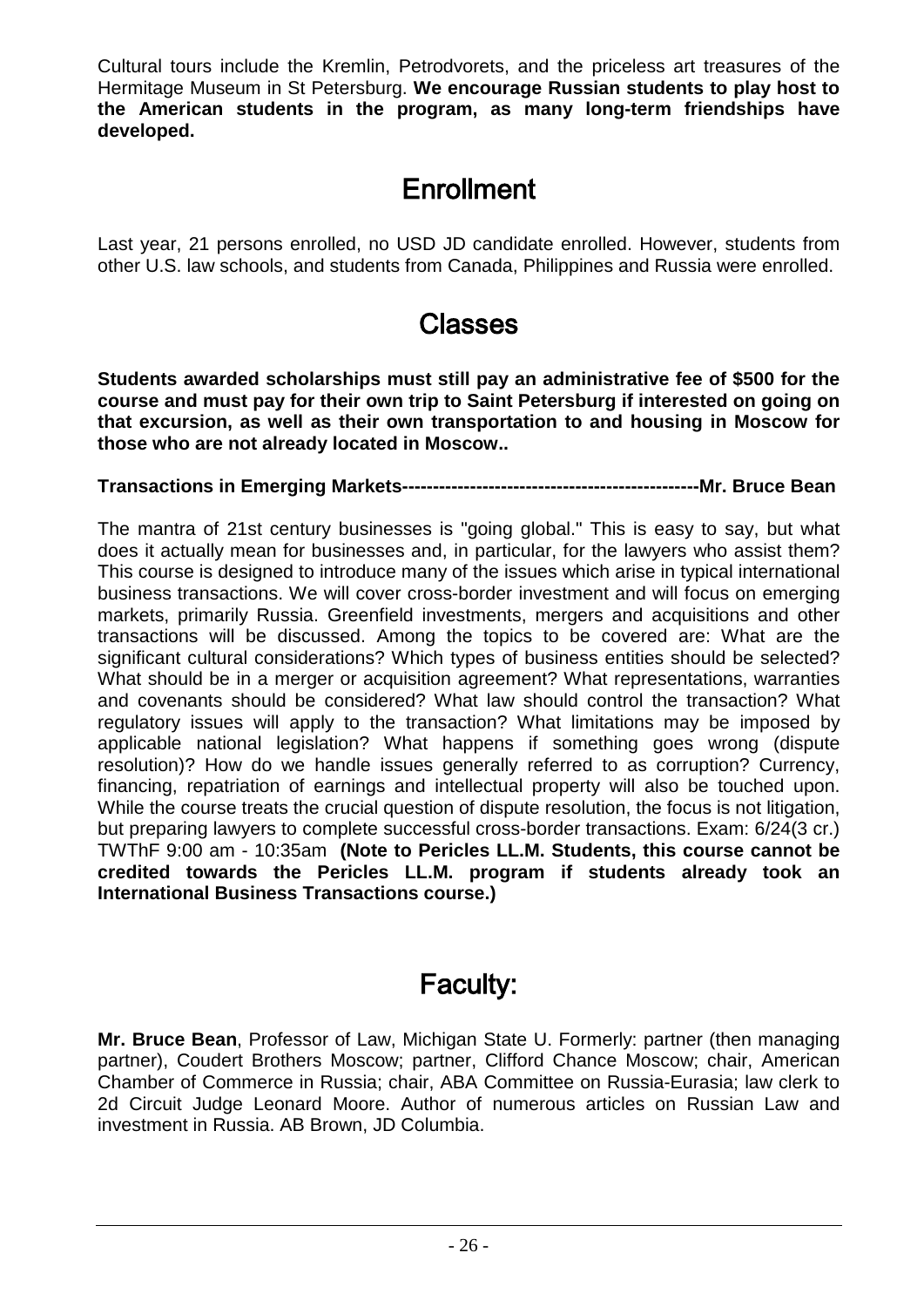Cultural tours include the Kremlin, Petrodvorets, and the priceless art treasures of the Hermitage Museum in St Petersburg. **We encourage Russian students to play host to the American students in the program, as many long-term friendships have developed.**

## **Enrollment**

Last year, 21 persons enrolled, no USD JD candidate enrolled. However, students from other U.S. law schools, and students from Canada, Philippines and Russia were enrolled.

### Classes

**Students awarded scholarships must still pay an administrative fee of \$500 for the course and must pay for their own trip to Saint Petersburg if interested on going on that excursion, as well as their own transportation to and housing in Moscow for those who are not already located in Moscow..** 

**Transactions in Emerging Markets------------------------------------------------Mr. Bruce Bean**

The mantra of 21st century businesses is "going global." This is easy to say, but what does it actually mean for businesses and, in particular, for the lawyers who assist them? This course is designed to introduce many of the issues which arise in typical international business transactions. We will cover cross-border investment and will focus on emerging markets, primarily Russia. Greenfield investments, mergers and acquisitions and other transactions will be discussed. Among the topics to be covered are: What are the significant cultural considerations? Which types of business entities should be selected? What should be in a merger or acquisition agreement? What representations, warranties and covenants should be considered? What law should control the transaction? What regulatory issues will apply to the transaction? What limitations may be imposed by applicable national legislation? What happens if something goes wrong (dispute resolution)? How do we handle issues generally referred to as corruption? Currency, financing, repatriation of earnings and intellectual property will also be touched upon. While the course treats the crucial question of dispute resolution, the focus is not litigation, but preparing lawyers to complete successful cross-border transactions. Exam: 6/24(3 cr.) TWThF 9:00 am - 10:35am **(Note to Pericles LL.M. Students, this course cannot be credited towards the Pericles LL.M. program if students already took an International Business Transactions course.)**

## Faculty:

**Mr. Bruce Bean**, Professor of Law, Michigan State U. Formerly: partner (then managing partner), Coudert Brothers Moscow; partner, Clifford Chance Moscow; chair, American Chamber of Commerce in Russia; chair, ABA Committee on Russia-Eurasia; law clerk to 2d Circuit Judge Leonard Moore. Author of numerous articles on Russian Law and investment in Russia. AB Brown, JD Columbia.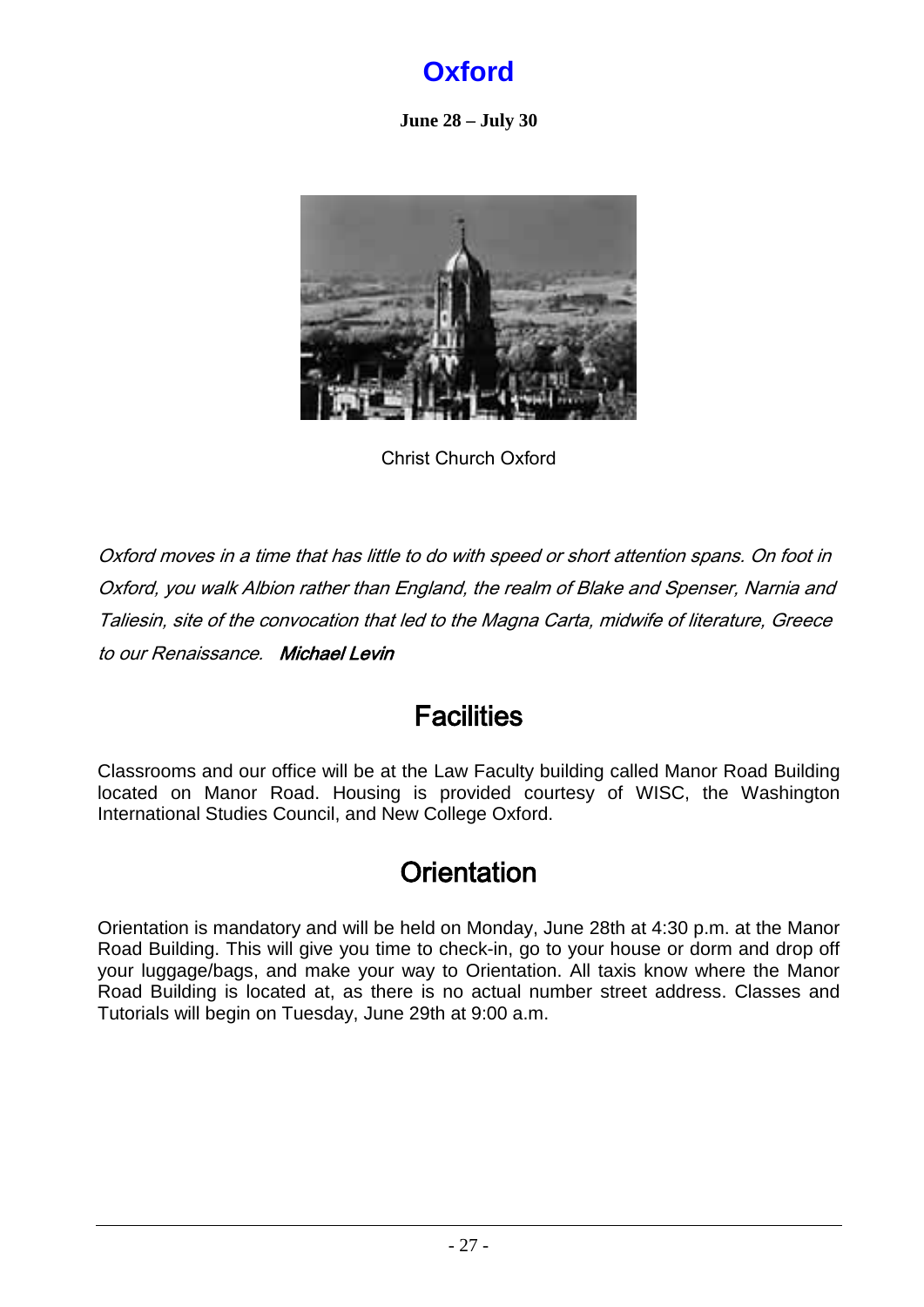## **Oxford**

**June 28 – July 30**

<span id="page-26-0"></span>

Christ Church Oxford

Oxford moves in a time that has little to do with speed or short attention spans. On foot in Oxford, you walk Albion rather than England, the realm of Blake and Spenser, Narnia and Taliesin, site of the convocation that led to the Magna Carta, midwife of literature, Greece to our Renaissance. Michael Levin

## **Facilities**

Classrooms and our office will be at the Law Faculty building called Manor Road Building located on Manor Road. Housing is provided courtesy of WISC, the Washington International Studies Council, and New College Oxford.

## **Orientation**

Orientation is mandatory and will be held on Monday, June 28th at 4:30 p.m. at the Manor Road Building. This will give you time to check-in, go to your house or dorm and drop off your luggage/bags, and make your way to Orientation. All taxis know where the Manor Road Building is located at, as there is no actual number street address. Classes and Tutorials will begin on Tuesday, June 29th at 9:00 a.m.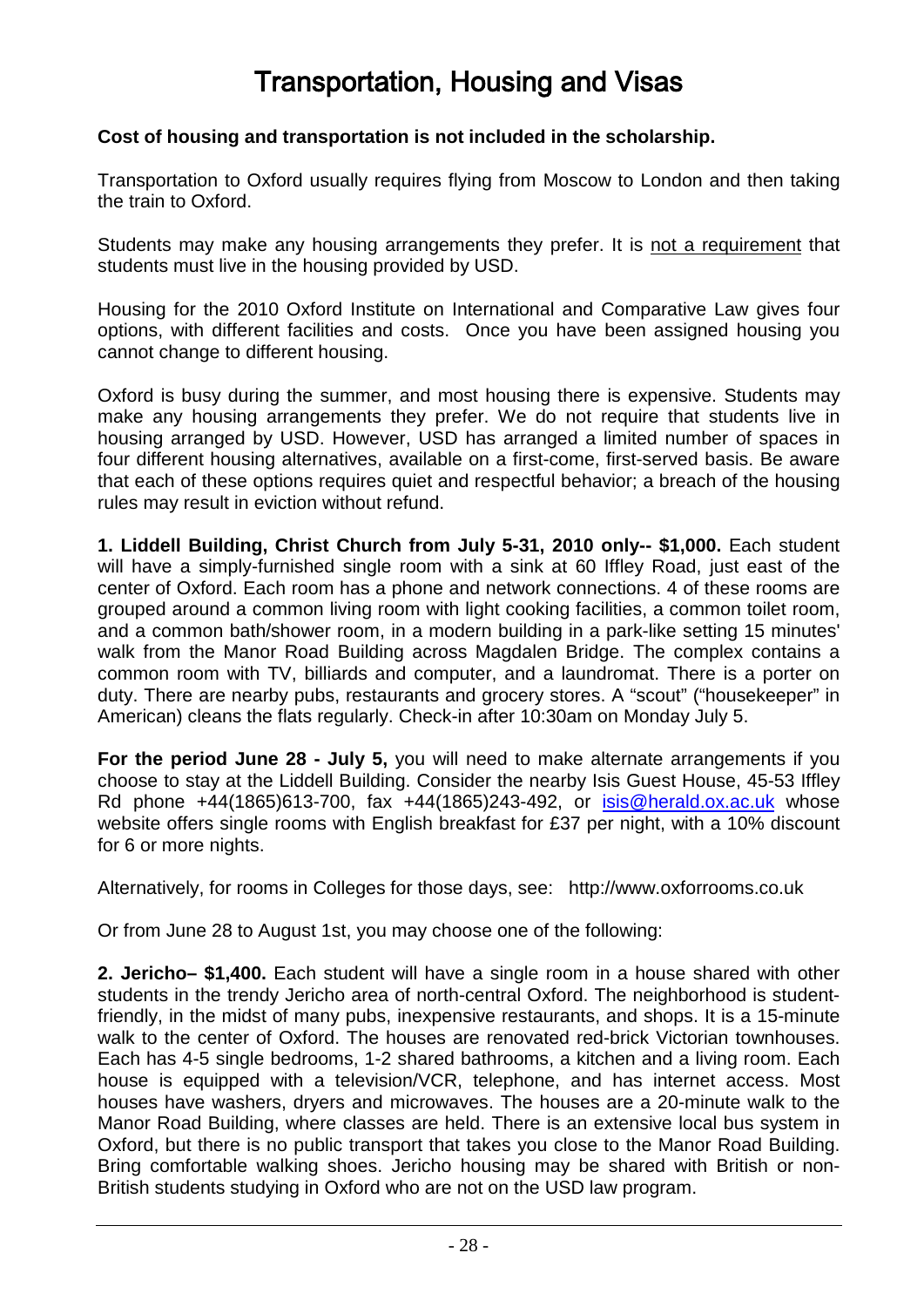## Transportation, Housing and Visas

#### **Cost of housing and transportation is not included in the scholarship.**

Transportation to Oxford usually requires flying from Moscow to London and then taking the train to Oxford.

Students may make any housing arrangements they prefer. It is not a requirement that students must live in the housing provided by USD.

Housing for the 2010 Oxford Institute on International and Comparative Law gives four options, with different facilities and costs. Once you have been assigned housing you cannot change to different housing.

Oxford is busy during the summer, and most housing there is expensive. Students may make any housing arrangements they prefer. We do not require that students live in housing arranged by USD. However, USD has arranged a limited number of spaces in four different housing alternatives, available on a first-come, first-served basis. Be aware that each of these options requires quiet and respectful behavior; a breach of the housing rules may result in eviction without refund.

**1. Liddell Building, Christ Church from July 5-31, 2010 only-- \$1,000.** Each student will have a simply-furnished single room with a sink at 60 Iffley Road, just east of the center of Oxford. Each room has a phone and network connections. 4 of these rooms are grouped around a common living room with light cooking facilities, a common toilet room, and a common bath/shower room, in a modern building in a park-like setting 15 minutes' walk from the Manor Road Building across Magdalen Bridge. The complex contains a common room with TV, billiards and computer, and a laundromat. There is a porter on duty. There are nearby pubs, restaurants and grocery stores. A "scout" ("housekeeper" in American) cleans the flats regularly. Check-in after 10:30am on Monday July 5.

**For the period June 28 - July 5,** you will need to make alternate arrangements if you choose to stay at the Liddell Building. Consider the nearby Isis Guest House, 45-53 Iffley Rd phone +44(1865)613-700, fax +44(1865)243-492, or <u>[isis@herald.ox.ac.uk](mailto:isis@herald.ox.ac.uk)</u> whose website offers single rooms with English breakfast for £37 per night, with a 10% discount for 6 or more nights.

Alternatively, for rooms in Colleges for those days, see: http://www.oxforrooms.co.uk

Or from June 28 to August 1st, you may choose one of the following:

**2. Jericho– \$1,400.** Each student will have a single room in a house shared with other students in the trendy Jericho area of north-central Oxford. The neighborhood is studentfriendly, in the midst of many pubs, inexpensive restaurants, and shops. It is a 15-minute walk to the center of Oxford. The houses are renovated red-brick Victorian townhouses. Each has 4-5 single bedrooms, 1-2 shared bathrooms, a kitchen and a living room. Each house is equipped with a television/VCR, telephone, and has internet access. Most houses have washers, dryers and microwaves. The houses are a 20-minute walk to the Manor Road Building, where classes are held. There is an extensive local bus system in Oxford, but there is no public transport that takes you close to the Manor Road Building. Bring comfortable walking shoes. Jericho housing may be shared with British or non-British students studying in Oxford who are not on the USD law program.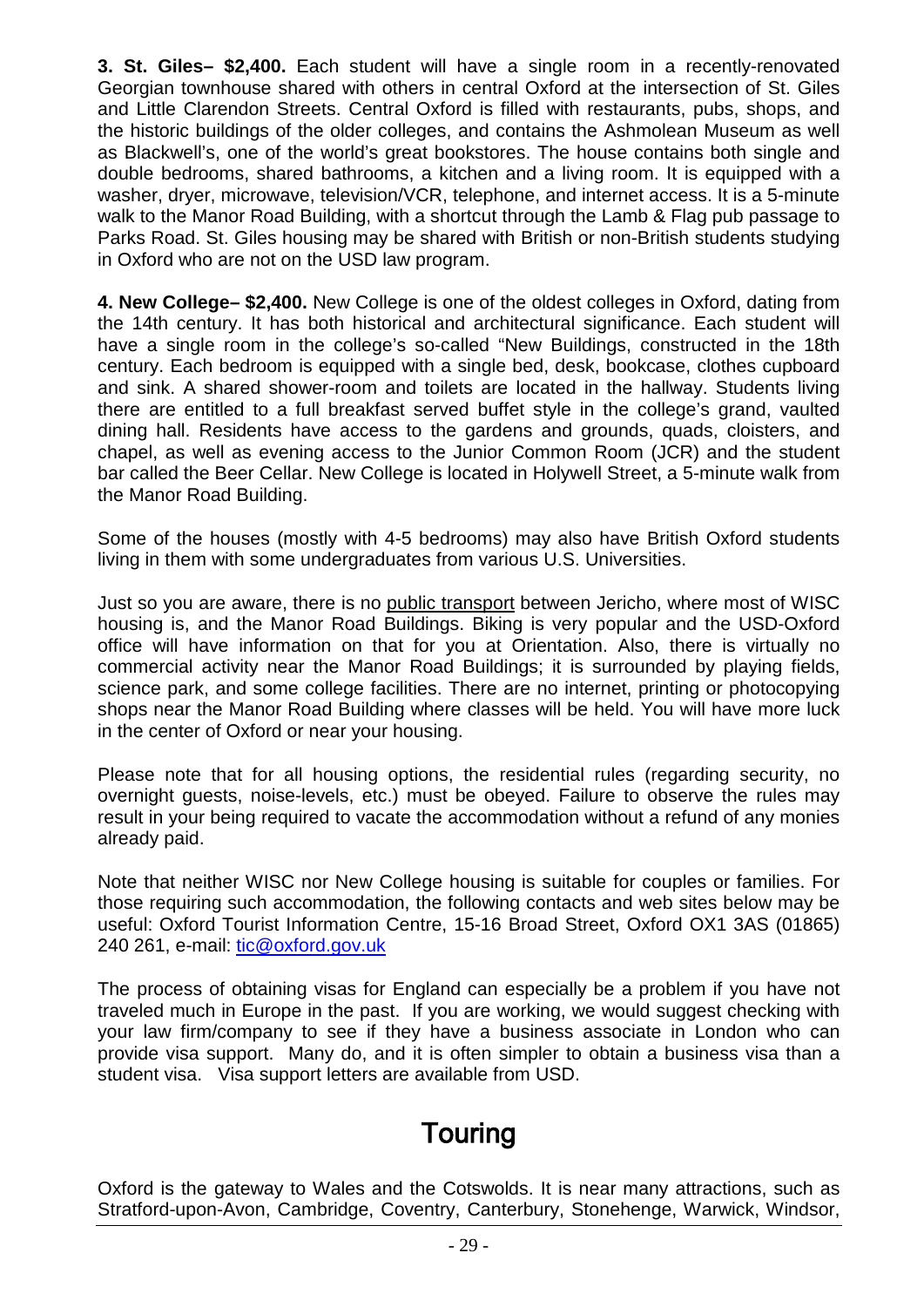**3. St. Giles– \$2,400.** Each student will have a single room in a recently-renovated Georgian townhouse shared with others in central Oxford at the intersection of St. Giles and Little Clarendon Streets. Central Oxford is filled with restaurants, pubs, shops, and the historic buildings of the older colleges, and contains the Ashmolean Museum as well as Blackwell's, one of the world's great bookstores. The house contains both single and double bedrooms, shared bathrooms, a kitchen and a living room. It is equipped with a washer, dryer, microwave, television/VCR, telephone, and internet access. It is a 5-minute walk to the Manor Road Building, with a shortcut through the Lamb & Flag pub passage to Parks Road. St. Giles housing may be shared with British or non-British students studying in Oxford who are not on the USD law program.

**4. New College– \$2,400.** New College is one of the oldest colleges in Oxford, dating from the 14th century. It has both historical and architectural significance. Each student will have a single room in the college's so-called "New Buildings, constructed in the 18th century. Each bedroom is equipped with a single bed, desk, bookcase, clothes cupboard and sink. A shared shower-room and toilets are located in the hallway. Students living there are entitled to a full breakfast served buffet style in the college's grand, vaulted dining hall. Residents have access to the gardens and grounds, quads, cloisters, and chapel, as well as evening access to the Junior Common Room (JCR) and the student bar called the Beer Cellar. New College is located in Holywell Street, a 5-minute walk from the Manor Road Building.

Some of the houses (mostly with 4-5 bedrooms) may also have British Oxford students living in them with some undergraduates from various U.S. Universities.

Just so you are aware, there is no <u>public transport</u> between Jericho, where most of WISC housing is, and the Manor Road Buildings. Biking is very popular and the USD-Oxford office will have information on that for you at Orientation. Also, there is virtually no commercial activity near the Manor Road Buildings; it is surrounded by playing fields, science park, and some college facilities. There are no internet, printing or photocopying shops near the Manor Road Building where classes will be held. You will have more luck in the center of Oxford or near your housing.

Please note that for all housing options, the residential rules (regarding security, no overnight guests, noise-levels, etc.) must be obeyed. Failure to observe the rules may result in your being required to vacate the accommodation without a refund of any monies already paid.

Note that neither WISC nor New College housing is suitable for couples or families. For those requiring such accommodation, the following contacts and web sites below may be useful: Oxford Tourist Information Centre, 15-16 Broad Street, Oxford OX1 3AS (01865) 240 261, e-mail: <u>[tic@oxford.gov.uk](mailto:tic@oxford.gov.uk)</u>

The process of obtaining visas for England can especially be a problem if you have not traveled much in Europe in the past. If you are working, we would suggest checking with your law firm/company to see if they have a business associate in London who can provide visa support. Many do, and it is often simpler to obtain a business visa than a student visa. Visa support letters are available from USD.

## **Touring**

Oxford is the gateway to Wales and the Cotswolds. It is near many attractions, such as Stratford-upon-Avon, Cambridge, Coventry, Canterbury, Stonehenge, Warwick, Windsor,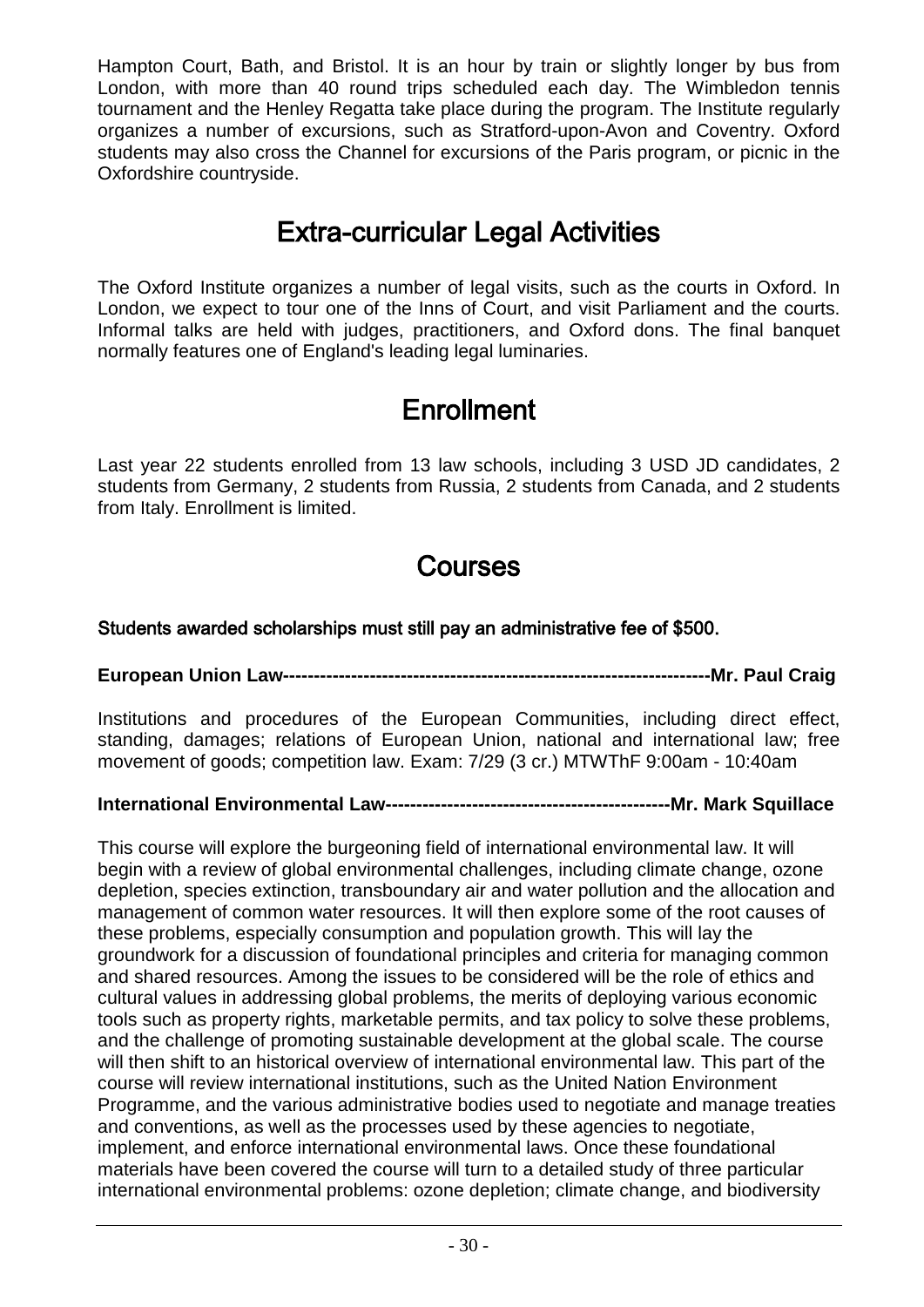Hampton Court, Bath, and Bristol. It is an hour by train or slightly longer by bus from London, with more than 40 round trips scheduled each day. The Wimbledon tennis tournament and the Henley Regatta take place during the program. The Institute regularly organizes a number of excursions, such as Stratford-upon-Avon and Coventry. Oxford students may also cross the Channel for excursions of the Paris program, or picnic in the Oxfordshire countryside.

## Extra-curricular Legal Activities

The Oxford Institute organizes a number of legal visits, such as the courts in Oxford. In London, we expect to tour one of the Inns of Court, and visit Parliament and the courts. Informal talks are held with judges, practitioners, and Oxford dons. The final banquet normally features one of England's leading legal luminaries.

## **Enrollment**

Last year 22 students enrolled from 13 law schools, including 3 USD JD candidates, 2 students from Germany, 2 students from Russia, 2 students from Canada, and 2 students from Italy. Enrollment is limited.

## Courses

#### Students awarded scholarships must still pay an administrative fee of \$500.

**European Union Law---------------------------------------------------------------------Mr. Paul Craig**

Institutions and procedures of the European Communities, including direct effect, standing, damages; relations of European Union, national and international law; free movement of goods; competition law. Exam: 7/29 (3 cr.) MTWThF 9:00am - 10:40am

### **International Environmental Law----------------------------------------------Mr. Mark Squillace**

This course will explore the burgeoning field of international environmental law. It will begin with a review of global environmental challenges, including climate change, ozone depletion, species extinction, transboundary air and water pollution and the allocation and management of common water resources. It will then explore some of the root causes of these problems, especially consumption and population growth. This will lay the groundwork for a discussion of foundational principles and criteria for managing common and shared resources. Among the issues to be considered will be the role of ethics and cultural values in addressing global problems, the merits of deploying various economic tools such as property rights, marketable permits, and tax policy to solve these problems, and the challenge of promoting sustainable development at the global scale. The course will then shift to an historical overview of international environmental law. This part of the course will review international institutions, such as the United Nation Environment Programme, and the various administrative bodies used to negotiate and manage treaties and conventions, as well as the processes used by these agencies to negotiate, implement, and enforce international environmental laws. Once these foundational materials have been covered the course will turn to a detailed study of three particular international environmental problems: ozone depletion; climate change, and biodiversity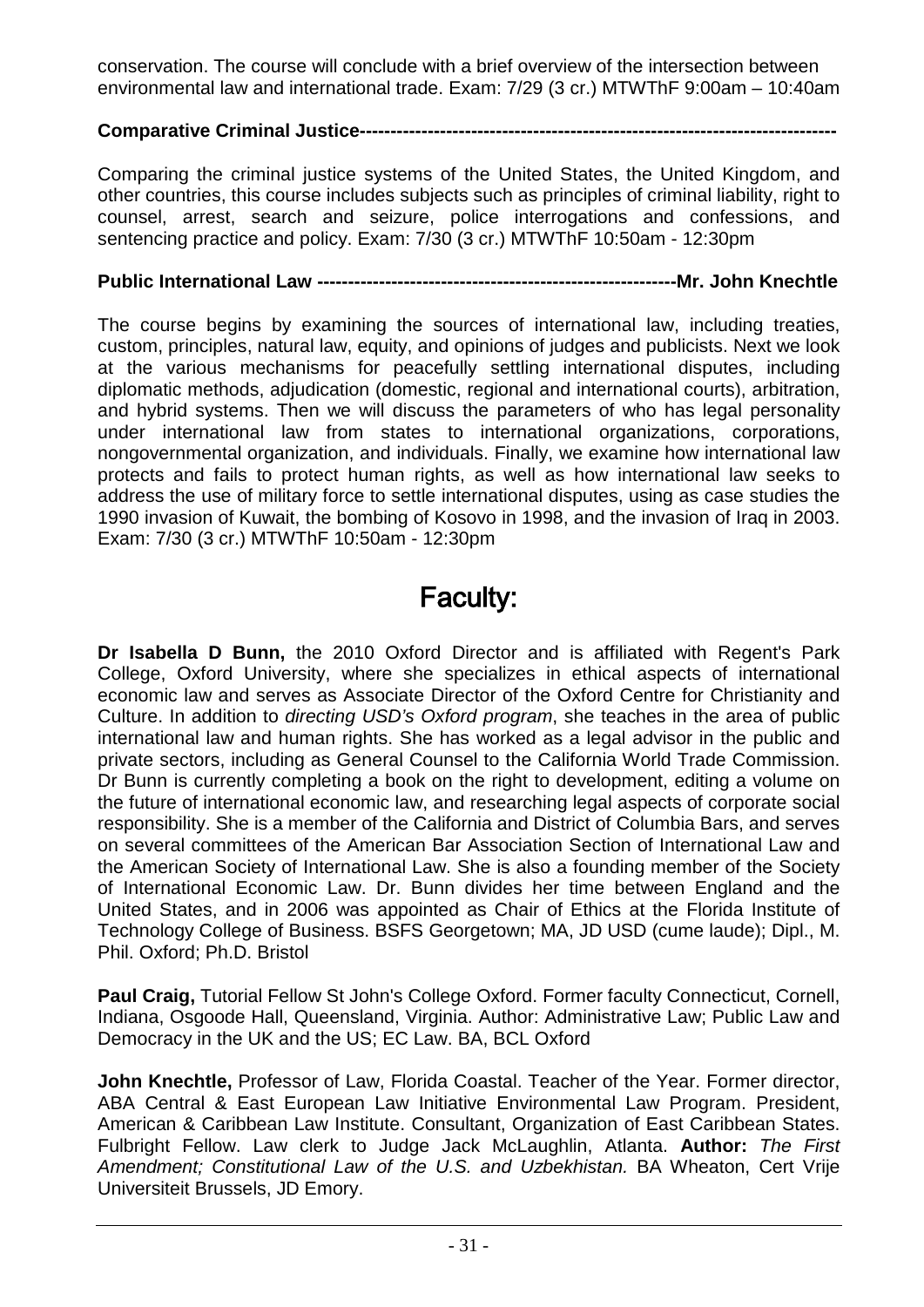conservation. The course will conclude with a brief overview of the intersection between environmental law and international trade. Exam: 7/29 (3 cr.) MTWThF 9:00am – 10:40am

### **Comparative Criminal Justice-----------------------------------------------------------------------------**

Comparing the criminal justice systems of the United States, the United Kingdom, and other countries, this course includes subjects such as principles of criminal liability, right to counsel, arrest, search and seizure, police interrogations and confessions, and sentencing practice and policy. Exam: 7/30 (3 cr.) MTWThF 10:50am - 12:30pm

#### **Public International Law ----------------------------------------------------------Mr. John Knechtle**

The course begins by examining the sources of international law, including treaties, custom, principles, natural law, equity, and opinions of judges and publicists. Next we look at the various mechanisms for peacefully settling international disputes, including diplomatic methods, adjudication (domestic, regional and international courts), arbitration, and hybrid systems. Then we will discuss the parameters of who has legal personality under international law from states to international organizations, corporations, nongovernmental organization, and individuals. Finally, we examine how international law protects and fails to protect human rights, as well as how international law seeks to address the use of military force to settle international disputes, using as case studies the 1990 invasion of Kuwait, the bombing of Kosovo in 1998, and the invasion of Iraq in 2003. Exam: 7/30 (3 cr.) MTWThF 10:50am - 12:30pm

## Faculty:

**Dr Isabella D Bunn,** the 2010 Oxford Director and is affiliated with Regent's Park College, Oxford University, where she specializes in ethical aspects of international economic law and serves as Associate Director of the Oxford Centre for Christianity and Culture. In addition to *directing USD's Oxford program*, she teaches in the area of public international law and human rights. She has worked as a legal advisor in the public and private sectors, including as General Counsel to the California World Trade Commission. Dr Bunn is currently completing a book on the right to development, editing a volume on the future of international economic law, and researching legal aspects of corporate social responsibility. She is a member of the California and District of Columbia Bars, and serves on several committees of the American Bar Association Section of International Law and the American Society of International Law. She is also a founding member of the Society of International Economic Law. Dr. Bunn divides her time between England and the United States, and in 2006 was appointed as Chair of Ethics at the Florida Institute of Technology College of Business. BSFS Georgetown; MA, JD USD (cume laude); Dipl., M. Phil. Oxford; Ph.D. Bristol

**Paul Craig,** Tutorial Fellow St John's College Oxford. Former faculty Connecticut, Cornell, Indiana, Osgoode Hall, Queensland, Virginia. Author: Administrative Law; Public Law and Democracy in the UK and the US; EC Law. BA, BCL Oxford

**John Knechtle,** Professor of Law, Florida Coastal. Teacher of the Year. Former director, ABA Central & East European Law Initiative Environmental Law Program. President, American & Caribbean Law Institute. Consultant, Organization of East Caribbean States. Fulbright Fellow. Law clerk to Judge Jack McLaughlin, Atlanta. **Author:** *The First Amendment; Constitutional Law of the U.S. and Uzbekhistan.* BA Wheaton, Cert Vrije Universiteit Brussels, JD Emory.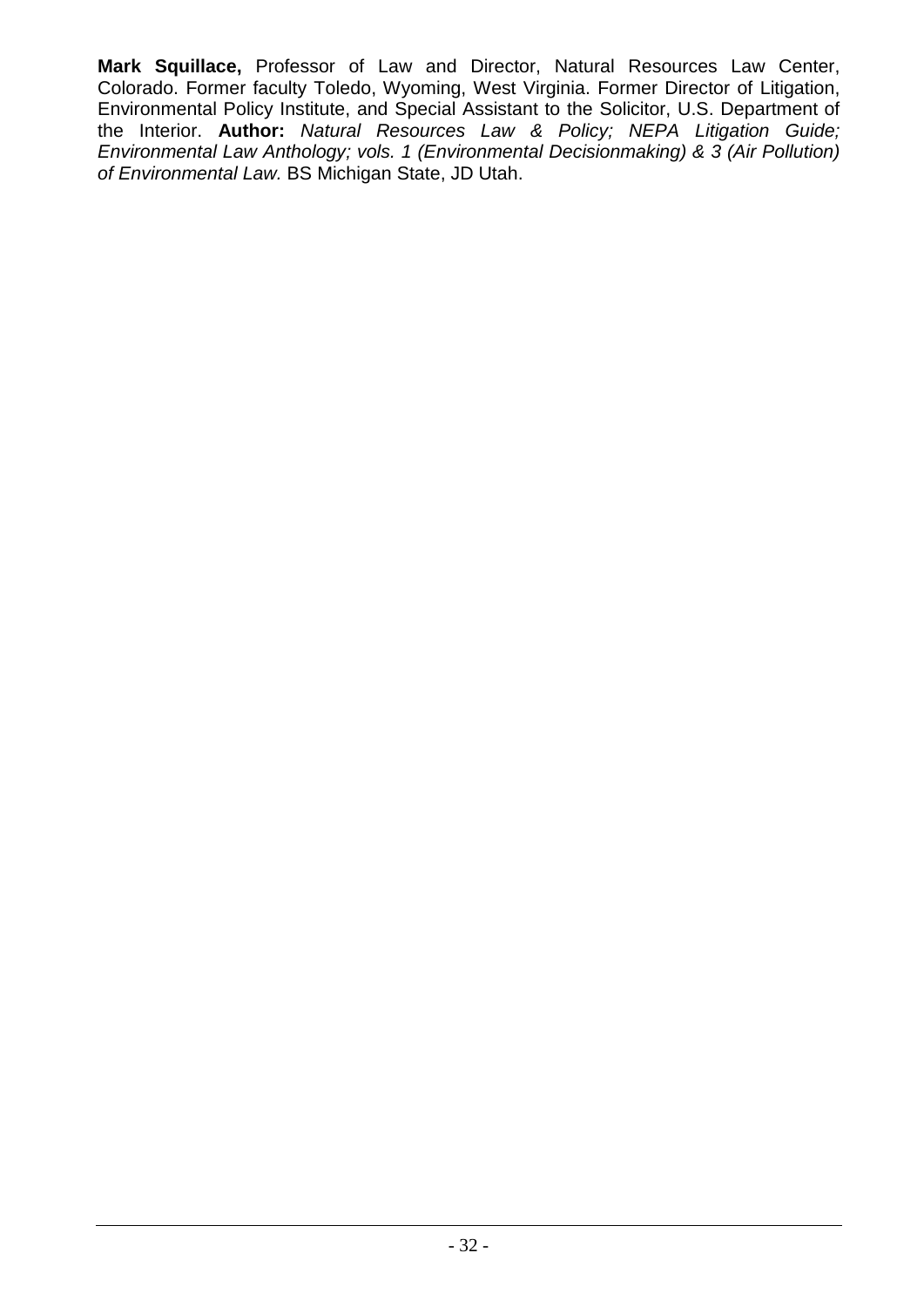**Mark Squillace,** Professor of Law and Director, Natural Resources Law Center, Colorado. Former faculty Toledo, Wyoming, West Virginia. Former Director of Litigation, Environmental Policy Institute, and Special Assistant to the Solicitor, U.S. Department of the Interior. **Author:** *Natural Resources Law & Policy; NEPA Litigation Guide; Environmental Law Anthology; vols. 1 (Environmental Decisionmaking) & 3 (Air Pollution) of Environmental Law.* BS Michigan State, JD Utah.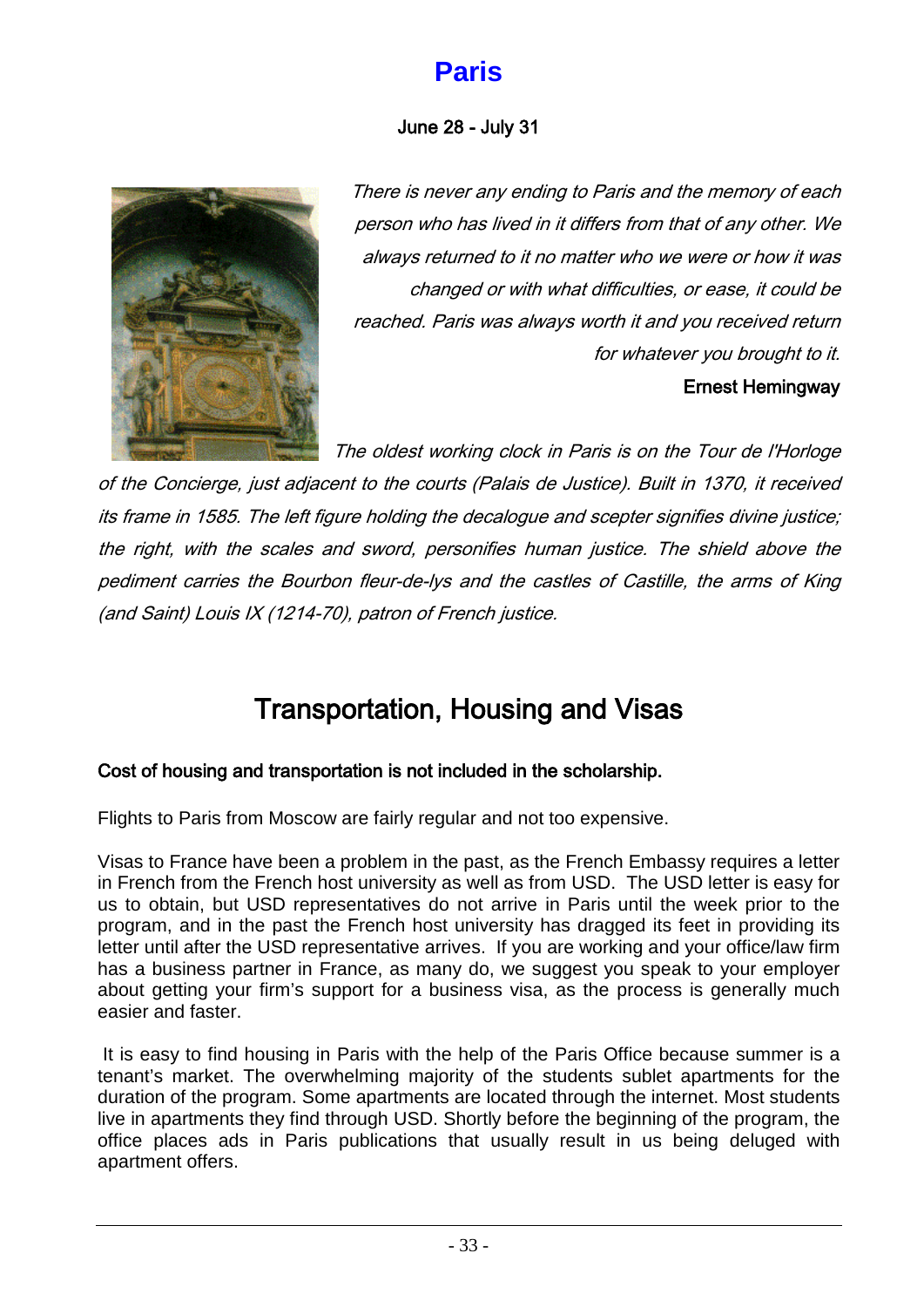## **Paris**

### June 28 - July 31

<span id="page-32-0"></span>

There is never any ending to Paris and the memory of each person who has lived in it differs from that of any other. We always returned to it no matter who we were or how it was changed or with what difficulties, or ease, it could be reached. Paris was always worth it and you received return for whatever you brought to it. Ernest Hemingway

The oldest working clock in Paris is on the Tour de l'Horloge

of the Concierge, just adjacent to the courts (Palais de Justice). Built in 1370, it received its frame in 1585. The left figure holding the decalogue and scepter signifies divine justice; the right, with the scales and sword, personifies human justice. The shield above the pediment carries the Bourbon fleur-de-lys and the castles of Castille, the arms of King (and Saint) Louis IX (1214-70), patron of French justice.

## Transportation, Housing and Visas

### Cost of housing and transportation is not included in the scholarship.

Flights to Paris from Moscow are fairly regular and not too expensive.

Visas to France have been a problem in the past, as the French Embassy requires a letter in French from the French host university as well as from USD. The USD letter is easy for us to obtain, but USD representatives do not arrive in Paris until the week prior to the program, and in the past the French host university has dragged its feet in providing its letter until after the USD representative arrives. If you are working and your office/law firm has a business partner in France, as many do, we suggest you speak to your employer about getting your firm's support for a business visa, as the process is generally much easier and faster.

It is easy to find housing in Paris with the help of the Paris Office because summer is a tenant's market. The overwhelming majority of the students sublet apartments for the duration of the program. Some apartments are located through the internet. Most students live in apartments they find through USD. Shortly before the beginning of the program, the office places ads in Paris publications that usually result in us being deluged with apartment offers.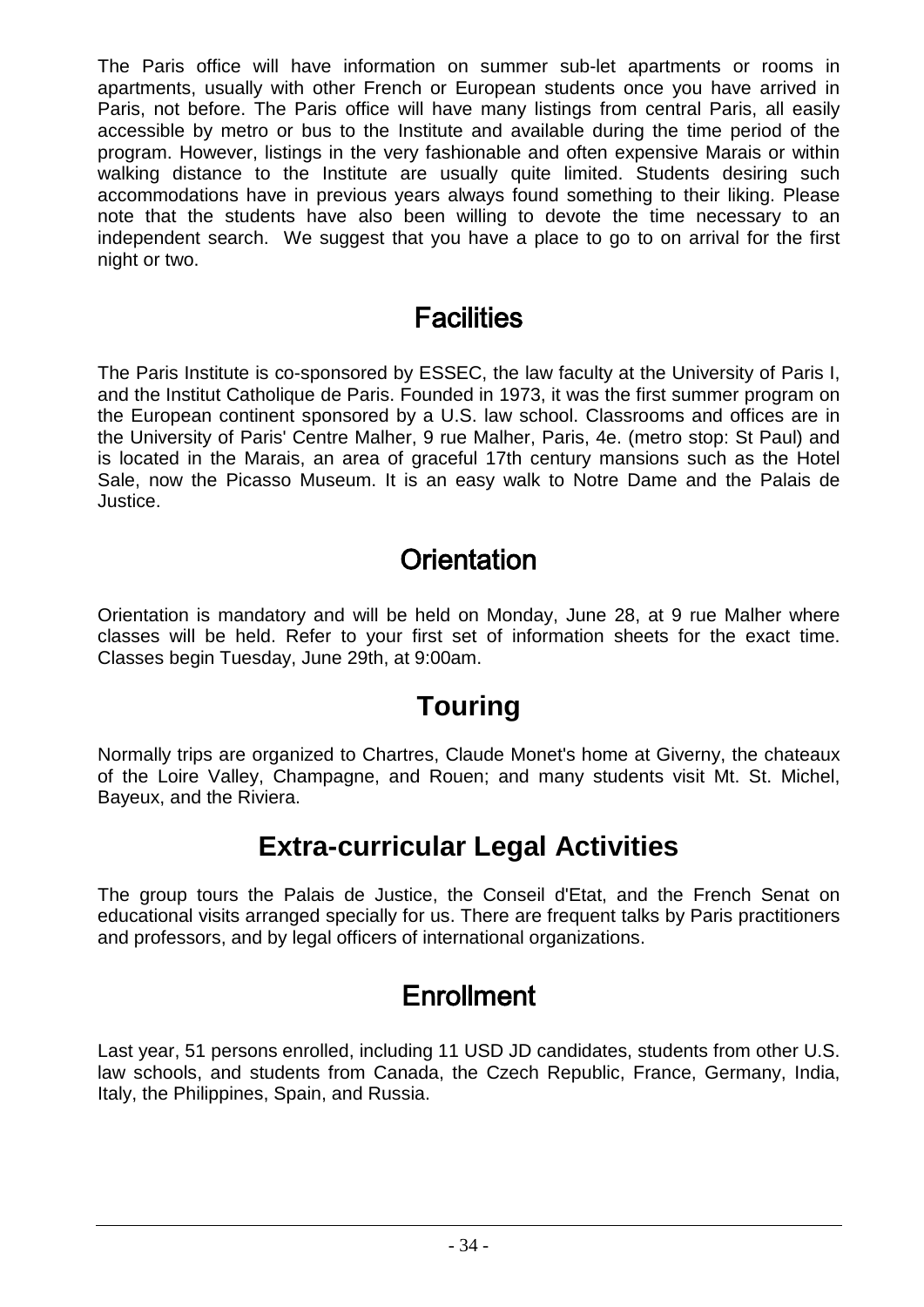The Paris office will have information on summer sub-let apartments or rooms in apartments, usually with other French or European students once you have arrived in Paris, not before. The Paris office will have many listings from central Paris, all easily accessible by metro or bus to the Institute and available during the time period of the program. However, listings in the very fashionable and often expensive Marais or within walking distance to the Institute are usually quite limited. Students desiring such accommodations have in previous years always found something to their liking. Please note that the students have also been willing to devote the time necessary to an independent search. We suggest that you have a place to go to on arrival for the first night or two.

### **Facilities**

The Paris Institute is co-sponsored by ESSEC, the law faculty at the University of Paris I, and the Institut Catholique de Paris. Founded in 1973, it was the first summer program on the European continent sponsored by a U.S. law school. Classrooms and offices are in the University of Paris' Centre Malher, 9 rue Malher, Paris, 4e. (metro stop: St Paul) and is located in the Marais, an area of graceful 17th century mansions such as the Hotel Sale, now the Picasso Museum. It is an easy walk to Notre Dame and the Palais de Justice.

## **Orientation**

Orientation is mandatory and will be held on Monday, June 28, at 9 rue Malher where classes will be held. Refer to your first set of information sheets for the exact time. Classes begin Tuesday, June 29th, at 9:00am.

### **Touring**

Normally trips are organized to Chartres, Claude Monet's home at Giverny, the chateaux of the Loire Valley, Champagne, and Rouen; and many students visit Mt. St. Michel, Bayeux, and the Riviera.

### **Extra-curricular Legal Activities**

The group tours the Palais de Justice, the Conseil d'Etat, and the French Senat on educational visits arranged specially for us. There are frequent talks by Paris practitioners and professors, and by legal officers of international organizations.

## Enrollment

Last year, 51 persons enrolled, including 11 USD JD candidates, students from other U.S. law schools, and students from Canada, the Czech Republic, France, Germany, India, Italy, the Philippines, Spain, and Russia.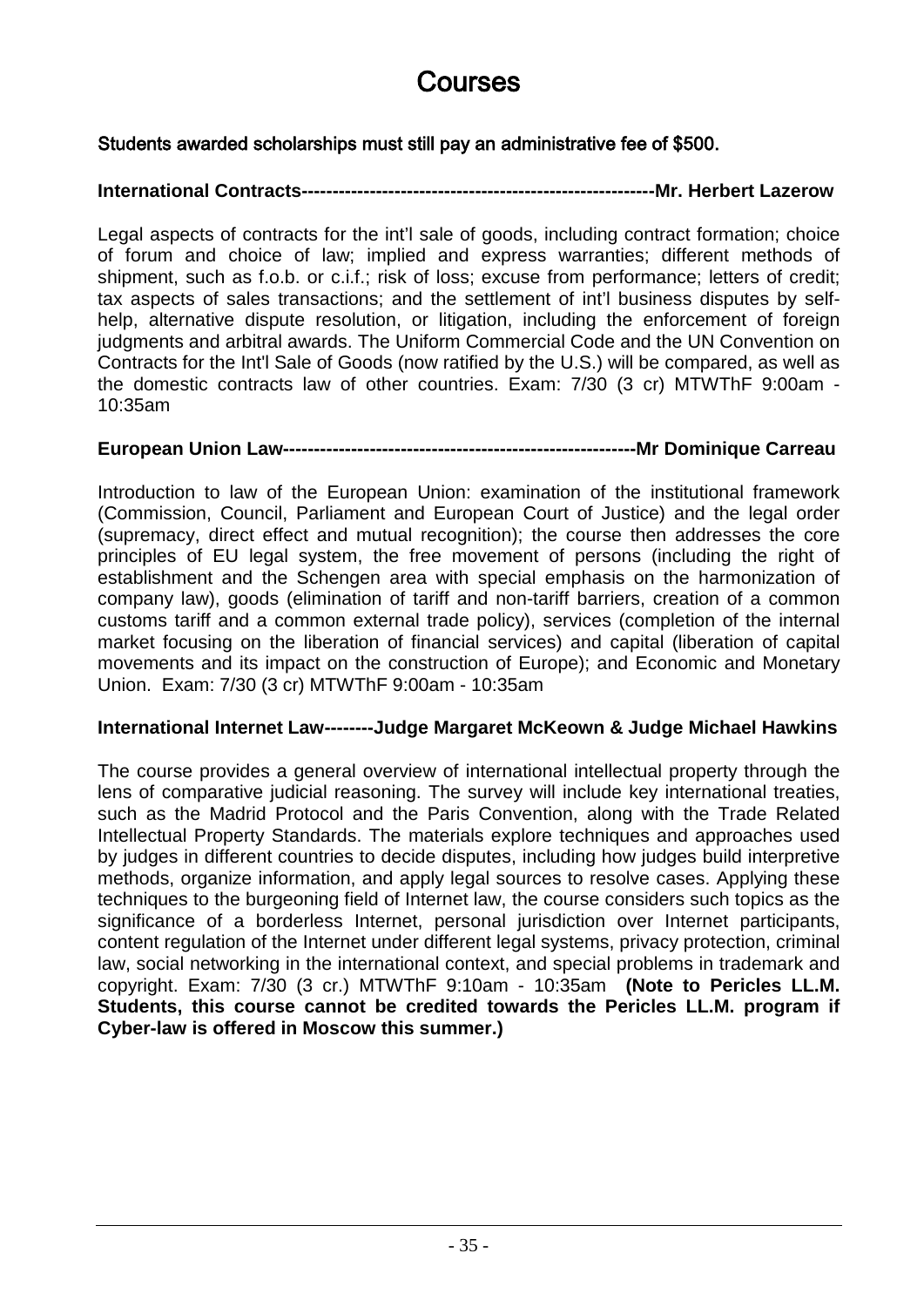## Courses

#### Students awarded scholarships must still pay an administrative fee of \$500.

#### **International Contracts---------------------------------------------------------Mr. Herbert Lazerow**

Legal aspects of contracts for the int'l sale of goods, including contract formation; choice of forum and choice of law; implied and express warranties; different methods of shipment, such as f.o.b. or c.i.f.; risk of loss; excuse from performance; letters of credit; tax aspects of sales transactions; and the settlement of int'l business disputes by selfhelp, alternative dispute resolution, or litigation, including the enforcement of foreign judgments and arbitral awards. The Uniform Commercial Code and the UN Convention on Contracts for the Int'l Sale of Goods (now ratified by the U.S.) will be compared, as well as the domestic contracts law of other countries. Exam: 7/30 (3 cr) MTWThF 9:00am - 10:35am

#### **European Union Law---------------------------------------------------------Mr Dominique Carreau**

Introduction to law of the European Union: examination of the institutional framework (Commission, Council, Parliament and European Court of Justice) and the legal order (supremacy, direct effect and mutual recognition); the course then addresses the core principles of EU legal system, the free movement of persons (including the right of establishment and the Schengen area with special emphasis on the harmonization of company law), goods (elimination of tariff and non-tariff barriers, creation of a common customs tariff and a common external trade policy), services (completion of the internal market focusing on the liberation of financial services) and capital (liberation of capital movements and its impact on the construction of Europe); and Economic and Monetary Union. Exam: 7/30 (3 cr) MTWThF 9:00am - 10:35am

#### **International Internet Law--------Judge Margaret McKeown & Judge Michael Hawkins**

The course provides a general overview of international intellectual property through the lens of comparative judicial reasoning. The survey will include key international treaties, such as the Madrid Protocol and the Paris Convention, along with the Trade Related Intellectual Property Standards. The materials explore techniques and approaches used by judges in different countries to decide disputes, including how judges build interpretive methods, organize information, and apply legal sources to resolve cases. Applying these techniques to the burgeoning field of Internet law, the course considers such topics as the significance of a borderless Internet, personal jurisdiction over Internet participants, content regulation of the Internet under different legal systems, privacy protection, criminal law, social networking in the international context, and special problems in trademark and copyright. Exam: 7/30 (3 cr.) MTWThF 9:10am - 10:35am **(Note to Pericles LL.M. Students, this course cannot be credited towards the Pericles LL.M. program if Cyber-law is offered in Moscow this summer.)**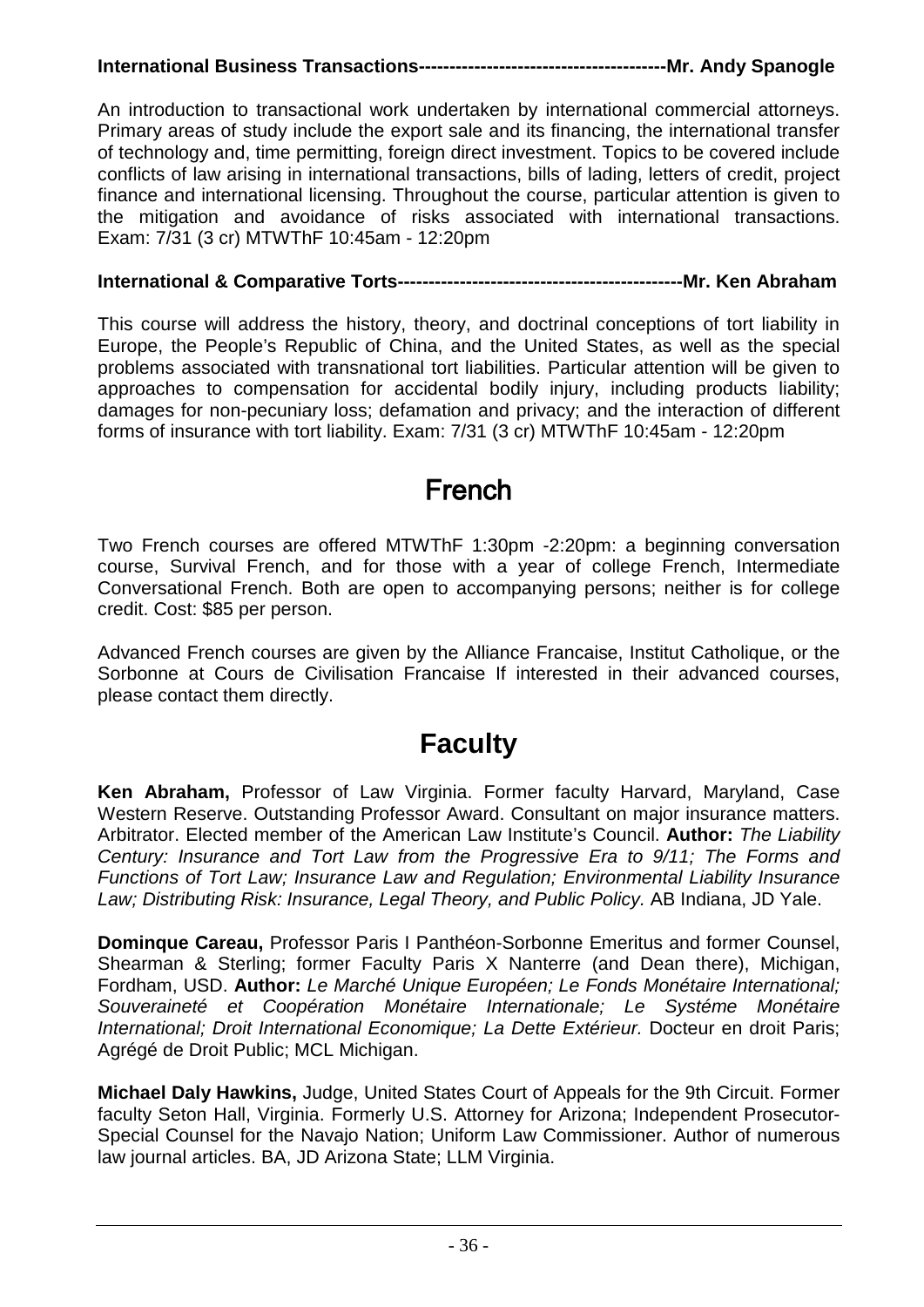### **International Business Transactions----------------------------------------Mr. Andy Spanogle**

An introduction to transactional work undertaken by international commercial attorneys. Primary areas of study include the export sale and its financing, the international transfer of technology and, time permitting, foreign direct investment. Topics to be covered include conflicts of law arising in international transactions, bills of lading, letters of credit, project finance and international licensing. Throughout the course, particular attention is given to the mitigation and avoidance of risks associated with international transactions. Exam: 7/31 (3 cr) MTWThF 10:45am - 12:20pm

#### **International & Comparative Torts----------------------------------------------Mr. Ken Abraham**

This course will address the history, theory, and doctrinal conceptions of tort liability in Europe, the People's Republic of China, and the United States, as well as the special problems associated with transnational tort liabilities. Particular attention will be given to approaches to compensation for accidental bodily injury, including products liability; damages for non-pecuniary loss; defamation and privacy; and the interaction of different forms of insurance with tort liability. Exam: 7/31 (3 cr) MTWThF 10:45am - 12:20pm

### French

Two French courses are offered MTWThF 1:30pm -2:20pm: a beginning conversation course, Survival French, and for those with a year of college French, Intermediate Conversational French. Both are open to accompanying persons; neither is for college credit. Cost: \$85 per person.

Advanced French courses are given by the Alliance Francaise, Institut Catholique, or the Sorbonne at Cours de Civilisation Francaise If interested in their advanced courses, please contact them directly.

### **Faculty**

**Ken Abraham,** Professor of Law Virginia. Former faculty Harvard, Maryland, Case Western Reserve. Outstanding Professor Award. Consultant on major insurance matters. Arbitrator. Elected member of the American Law Institute's Council. **Author:** *The Liability Century: Insurance and Tort Law from the Progressive Era to 9/11; The Forms and Functions of Tort Law; Insurance Law and Regulation; Environmental Liability Insurance Law; Distributing Risk: Insurance, Legal Theory, and Public Policy.* AB Indiana, JD Yale.

**Dominque Careau,** Professor Paris I Panthéon-Sorbonne Emeritus and former Counsel, Shearman & Sterling; former Faculty Paris X Nanterre (and Dean there), Michigan, Fordham, USD. **Author:** *Le Marché Unique Européen; Le Fonds Monétaire International; Souveraineté et Coopération Monétaire Internationale; Le Systéme Monétaire International; Droit International Economique; La Dette Extérieur.* Docteur en droit Paris; Agrégé de Droit Public; MCL Michigan.

**Michael Daly Hawkins,** Judge, United States Court of Appeals for the 9th Circuit. Former faculty Seton Hall, Virginia. Formerly U.S. Attorney for Arizona; Independent Prosecutor-Special Counsel for the Navajo Nation; Uniform Law Commissioner. Author of numerous law journal articles. BA, JD Arizona State; LLM Virginia.